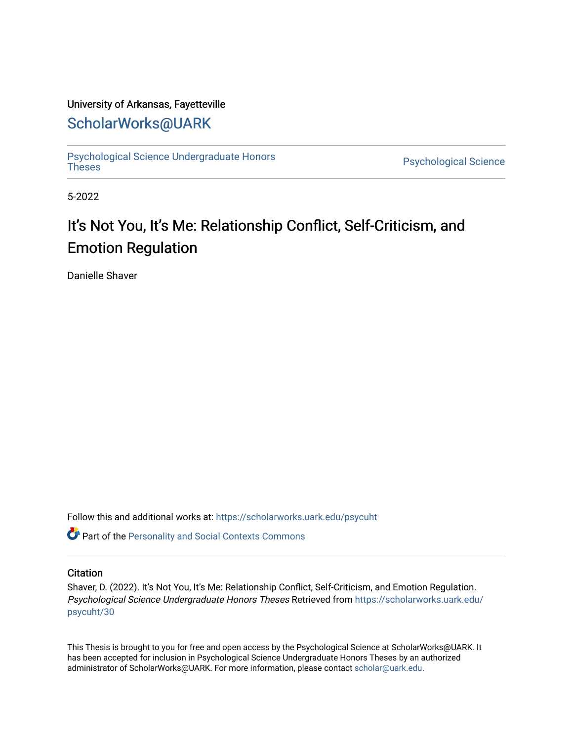## University of Arkansas, Fayetteville

## [ScholarWorks@UARK](https://scholarworks.uark.edu/)

[Psychological Science Undergraduate Honors](https://scholarworks.uark.edu/psycuht) 

Psychological Science

5-2022

# It's Not You, It's Me: Relationship Conflict, Self-Criticism, and Emotion Regulation

Danielle Shaver

Follow this and additional works at: [https://scholarworks.uark.edu/psycuht](https://scholarworks.uark.edu/psycuht?utm_source=scholarworks.uark.edu%2Fpsycuht%2F30&utm_medium=PDF&utm_campaign=PDFCoverPages)

**Part of the [Personality and Social Contexts Commons](http://network.bepress.com/hgg/discipline/413?utm_source=scholarworks.uark.edu%2Fpsycuht%2F30&utm_medium=PDF&utm_campaign=PDFCoverPages)** 

#### **Citation**

Shaver, D. (2022). It's Not You, It's Me: Relationship Conflict, Self-Criticism, and Emotion Regulation. Psychological Science Undergraduate Honors Theses Retrieved from [https://scholarworks.uark.edu/](https://scholarworks.uark.edu/psycuht/30?utm_source=scholarworks.uark.edu%2Fpsycuht%2F30&utm_medium=PDF&utm_campaign=PDFCoverPages) [psycuht/30](https://scholarworks.uark.edu/psycuht/30?utm_source=scholarworks.uark.edu%2Fpsycuht%2F30&utm_medium=PDF&utm_campaign=PDFCoverPages)

This Thesis is brought to you for free and open access by the Psychological Science at ScholarWorks@UARK. It has been accepted for inclusion in Psychological Science Undergraduate Honors Theses by an authorized administrator of ScholarWorks@UARK. For more information, please contact [scholar@uark.edu](mailto:scholar@uark.edu).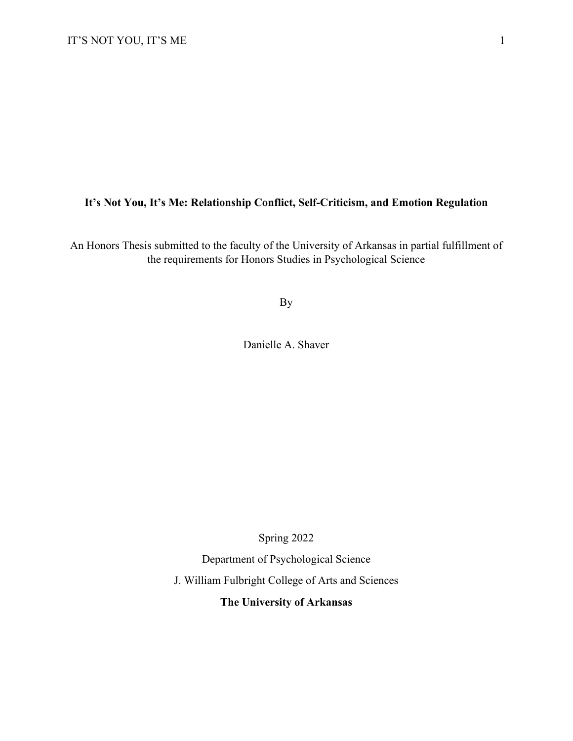## **It's Not You, It's Me: Relationship Conflict, Self-Criticism, and Emotion Regulation**

An Honors Thesis submitted to the faculty of the University of Arkansas in partial fulfillment of the requirements for Honors Studies in Psychological Science

By

Danielle A. Shaver

Spring 2022

Department of Psychological Science

J. William Fulbright College of Arts and Sciences

**The University of Arkansas**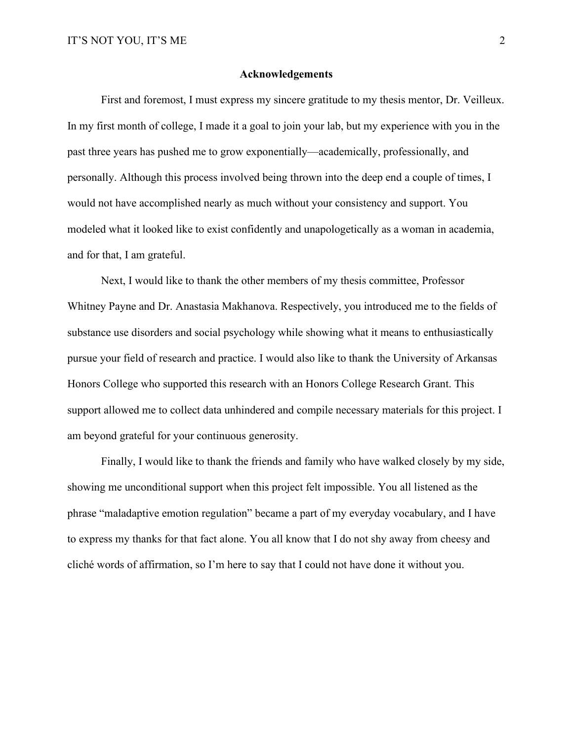#### **Acknowledgements**

First and foremost, I must express my sincere gratitude to my thesis mentor, Dr. Veilleux. In my first month of college, I made it a goal to join your lab, but my experience with you in the past three years has pushed me to grow exponentially—academically, professionally, and personally. Although this process involved being thrown into the deep end a couple of times, I would not have accomplished nearly as much without your consistency and support. You modeled what it looked like to exist confidently and unapologetically as a woman in academia, and for that, I am grateful.

Next, I would like to thank the other members of my thesis committee, Professor Whitney Payne and Dr. Anastasia Makhanova. Respectively, you introduced me to the fields of substance use disorders and social psychology while showing what it means to enthusiastically pursue your field of research and practice. I would also like to thank the University of Arkansas Honors College who supported this research with an Honors College Research Grant. This support allowed me to collect data unhindered and compile necessary materials for this project. I am beyond grateful for your continuous generosity.

Finally, I would like to thank the friends and family who have walked closely by my side, showing me unconditional support when this project felt impossible. You all listened as the phrase "maladaptive emotion regulation" became a part of my everyday vocabulary, and I have to express my thanks for that fact alone. You all know that I do not shy away from cheesy and cliché words of affirmation, so I'm here to say that I could not have done it without you.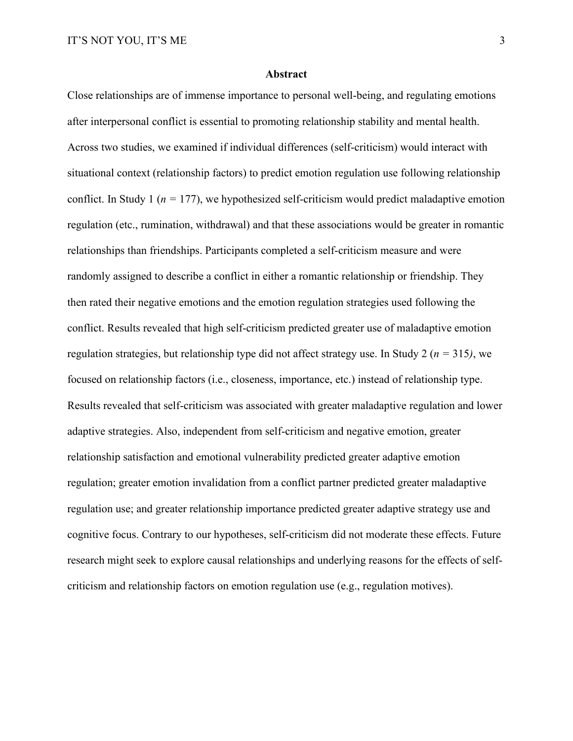#### **Abstract**

Close relationships are of immense importance to personal well-being, and regulating emotions after interpersonal conflict is essential to promoting relationship stability and mental health. Across two studies, we examined if individual differences (self-criticism) would interact with situational context (relationship factors) to predict emotion regulation use following relationship conflict. In Study 1 ( $n = 177$ ), we hypothesized self-criticism would predict maladaptive emotion regulation (etc., rumination, withdrawal) and that these associations would be greater in romantic relationships than friendships. Participants completed a self-criticism measure and were randomly assigned to describe a conflict in either a romantic relationship or friendship. They then rated their negative emotions and the emotion regulation strategies used following the conflict. Results revealed that high self-criticism predicted greater use of maladaptive emotion regulation strategies, but relationship type did not affect strategy use. In Study 2 (*n =* 315*)*, we focused on relationship factors (i.e., closeness, importance, etc.) instead of relationship type. Results revealed that self-criticism was associated with greater maladaptive regulation and lower adaptive strategies. Also, independent from self-criticism and negative emotion, greater relationship satisfaction and emotional vulnerability predicted greater adaptive emotion regulation; greater emotion invalidation from a conflict partner predicted greater maladaptive regulation use; and greater relationship importance predicted greater adaptive strategy use and cognitive focus. Contrary to our hypotheses, self-criticism did not moderate these effects. Future research might seek to explore causal relationships and underlying reasons for the effects of selfcriticism and relationship factors on emotion regulation use (e.g., regulation motives).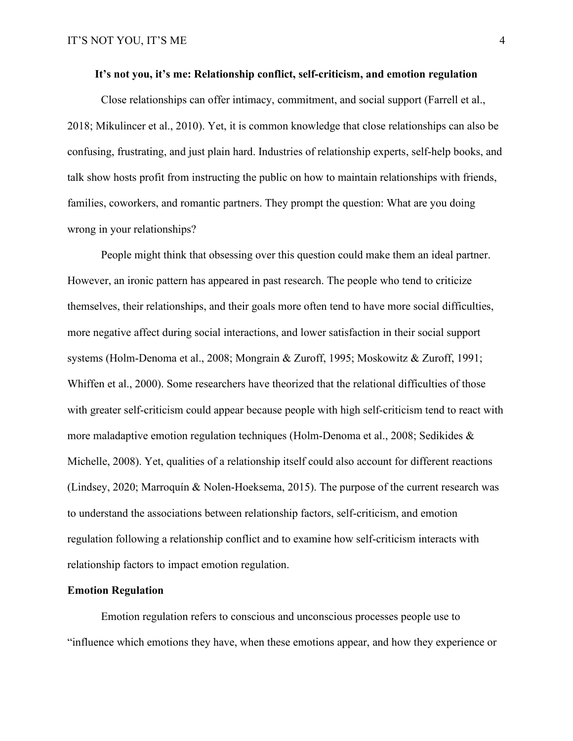#### **It's not you, it's me: Relationship conflict, self-criticism, and emotion regulation**

Close relationships can offer intimacy, commitment, and social support (Farrell et al., 2018; Mikulincer et al., 2010). Yet, it is common knowledge that close relationships can also be confusing, frustrating, and just plain hard. Industries of relationship experts, self-help books, and talk show hosts profit from instructing the public on how to maintain relationships with friends, families, coworkers, and romantic partners. They prompt the question: What are you doing wrong in your relationships?

People might think that obsessing over this question could make them an ideal partner. However, an ironic pattern has appeared in past research. The people who tend to criticize themselves, their relationships, and their goals more often tend to have more social difficulties, more negative affect during social interactions, and lower satisfaction in their social support systems (Holm-Denoma et al., 2008; Mongrain & Zuroff, 1995; Moskowitz & Zuroff, 1991; Whiffen et al., 2000). Some researchers have theorized that the relational difficulties of those with greater self-criticism could appear because people with high self-criticism tend to react with more maladaptive emotion regulation techniques (Holm-Denoma et al., 2008; Sedikides & Michelle, 2008). Yet, qualities of a relationship itself could also account for different reactions (Lindsey, 2020; Marroquín & Nolen-Hoeksema, 2015). The purpose of the current research was to understand the associations between relationship factors, self-criticism, and emotion regulation following a relationship conflict and to examine how self-criticism interacts with relationship factors to impact emotion regulation.

#### **Emotion Regulation**

Emotion regulation refers to conscious and unconscious processes people use to "influence which emotions they have, when these emotions appear, and how they experience or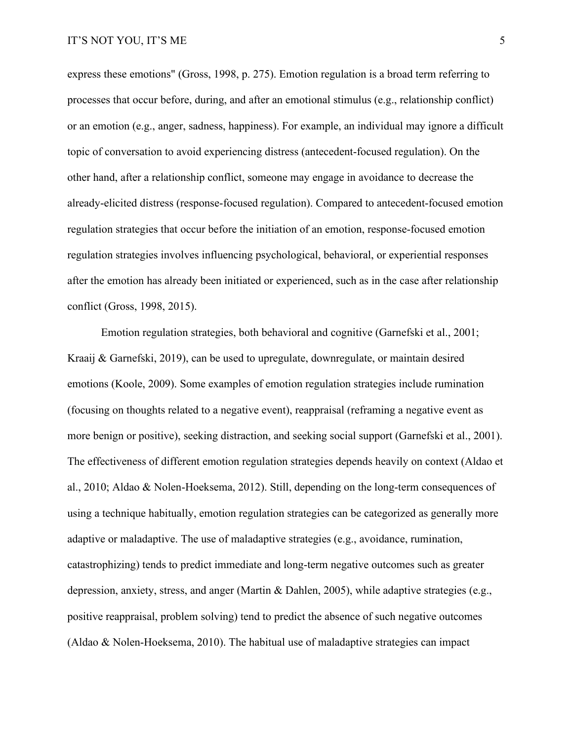express these emotions" (Gross, 1998, p. 275). Emotion regulation is a broad term referring to processes that occur before, during, and after an emotional stimulus (e.g., relationship conflict) or an emotion (e.g., anger, sadness, happiness). For example, an individual may ignore a difficult topic of conversation to avoid experiencing distress (antecedent-focused regulation). On the other hand, after a relationship conflict, someone may engage in avoidance to decrease the already-elicited distress (response-focused regulation). Compared to antecedent-focused emotion regulation strategies that occur before the initiation of an emotion, response-focused emotion regulation strategies involves influencing psychological, behavioral, or experiential responses after the emotion has already been initiated or experienced, such as in the case after relationship conflict (Gross, 1998, 2015).

Emotion regulation strategies, both behavioral and cognitive (Garnefski et al., 2001; Kraaij & Garnefski, 2019), can be used to upregulate, downregulate, or maintain desired emotions (Koole, 2009). Some examples of emotion regulation strategies include rumination (focusing on thoughts related to a negative event), reappraisal (reframing a negative event as more benign or positive), seeking distraction, and seeking social support (Garnefski et al., 2001). The effectiveness of different emotion regulation strategies depends heavily on context (Aldao et al., 2010; Aldao & Nolen-Hoeksema, 2012). Still, depending on the long-term consequences of using a technique habitually, emotion regulation strategies can be categorized as generally more adaptive or maladaptive. The use of maladaptive strategies (e.g., avoidance, rumination, catastrophizing) tends to predict immediate and long-term negative outcomes such as greater depression, anxiety, stress, and anger (Martin & Dahlen, 2005), while adaptive strategies (e.g., positive reappraisal, problem solving) tend to predict the absence of such negative outcomes (Aldao & Nolen-Hoeksema, 2010). The habitual use of maladaptive strategies can impact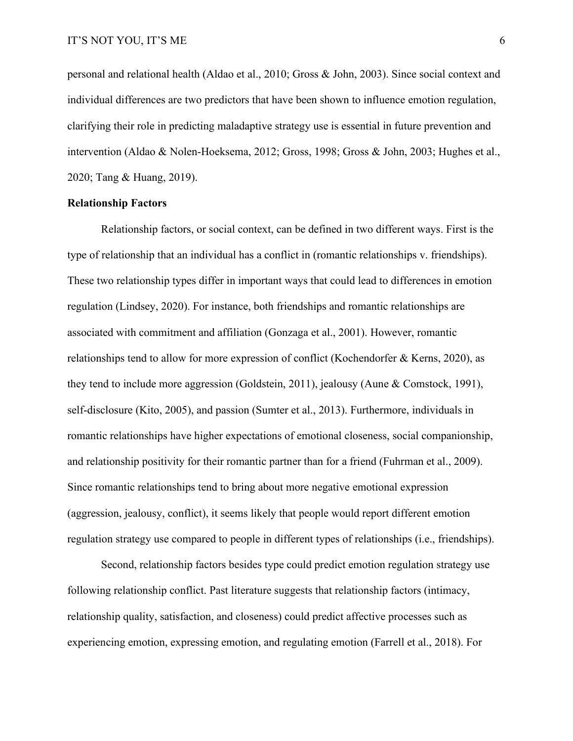personal and relational health (Aldao et al., 2010; Gross & John, 2003). Since social context and individual differences are two predictors that have been shown to influence emotion regulation, clarifying their role in predicting maladaptive strategy use is essential in future prevention and intervention (Aldao & Nolen-Hoeksema, 2012; Gross, 1998; Gross & John, 2003; Hughes et al., 2020; Tang & Huang, 2019).

#### **Relationship Factors**

Relationship factors, or social context, can be defined in two different ways. First is the type of relationship that an individual has a conflict in (romantic relationships v. friendships). These two relationship types differ in important ways that could lead to differences in emotion regulation (Lindsey, 2020). For instance, both friendships and romantic relationships are associated with commitment and affiliation (Gonzaga et al., 2001). However, romantic relationships tend to allow for more expression of conflict (Kochendorfer & Kerns, 2020), as they tend to include more aggression (Goldstein, 2011), jealousy (Aune & Comstock, 1991), self-disclosure (Kito, 2005), and passion (Sumter et al., 2013). Furthermore, individuals in romantic relationships have higher expectations of emotional closeness, social companionship, and relationship positivity for their romantic partner than for a friend (Fuhrman et al., 2009). Since romantic relationships tend to bring about more negative emotional expression (aggression, jealousy, conflict), it seems likely that people would report different emotion regulation strategy use compared to people in different types of relationships (i.e., friendships).

Second, relationship factors besides type could predict emotion regulation strategy use following relationship conflict. Past literature suggests that relationship factors (intimacy, relationship quality, satisfaction, and closeness) could predict affective processes such as experiencing emotion, expressing emotion, and regulating emotion (Farrell et al., 2018). For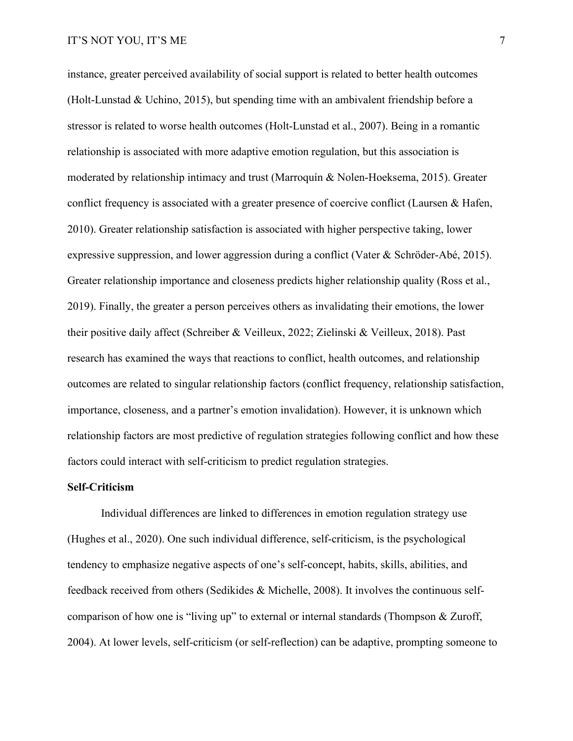instance, greater perceived availability of social support is related to better health outcomes (Holt-Lunstad & Uchino, 2015), but spending time with an ambivalent friendship before a stressor is related to worse health outcomes (Holt-Lunstad et al., 2007). Being in a romantic relationship is associated with more adaptive emotion regulation, but this association is moderated by relationship intimacy and trust (Marroquín & Nolen-Hoeksema, 2015). Greater conflict frequency is associated with a greater presence of coercive conflict (Laursen & Hafen, 2010). Greater relationship satisfaction is associated with higher perspective taking, lower expressive suppression, and lower aggression during a conflict (Vater & Schröder-Abé, 2015). Greater relationship importance and closeness predicts higher relationship quality (Ross et al., 2019). Finally, the greater a person perceives others as invalidating their emotions, the lower their positive daily affect (Schreiber & Veilleux, 2022; Zielinski & Veilleux, 2018). Past research has examined the ways that reactions to conflict, health outcomes, and relationship outcomes are related to singular relationship factors (conflict frequency, relationship satisfaction, importance, closeness, and a partner's emotion invalidation). However, it is unknown which relationship factors are most predictive of regulation strategies following conflict and how these factors could interact with self-criticism to predict regulation strategies.

#### **Self-Criticism**

Individual differences are linked to differences in emotion regulation strategy use (Hughes et al., 2020). One such individual difference, self-criticism, is the psychological tendency to emphasize negative aspects of one's self-concept, habits, skills, abilities, and feedback received from others (Sedikides & Michelle, 2008). It involves the continuous selfcomparison of how one is "living up" to external or internal standards (Thompson & Zuroff, 2004). At lower levels, self-criticism (or self-reflection) can be adaptive, prompting someone to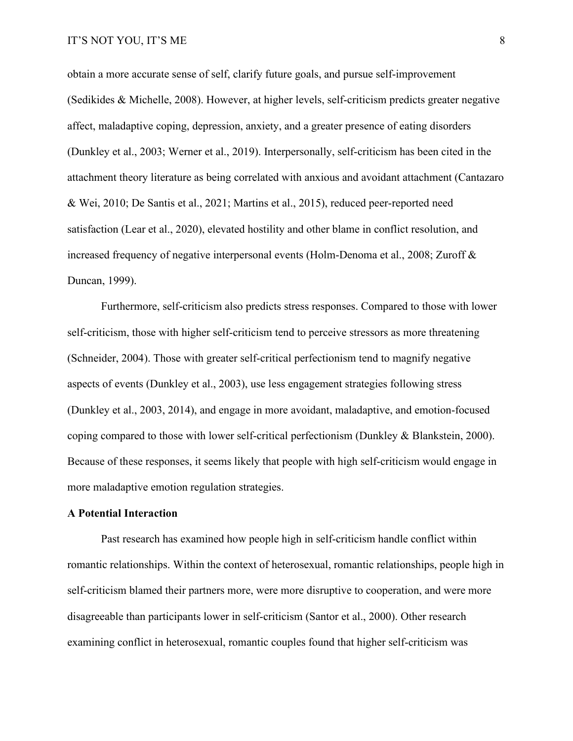obtain a more accurate sense of self, clarify future goals, and pursue self-improvement (Sedikides & Michelle, 2008). However, at higher levels, self-criticism predicts greater negative affect, maladaptive coping, depression, anxiety, and a greater presence of eating disorders (Dunkley et al., 2003; Werner et al., 2019). Interpersonally, self-criticism has been cited in the attachment theory literature as being correlated with anxious and avoidant attachment (Cantazaro & Wei, 2010; De Santis et al., 2021; Martins et al., 2015), reduced peer-reported need satisfaction (Lear et al., 2020), elevated hostility and other blame in conflict resolution, and increased frequency of negative interpersonal events (Holm-Denoma et al., 2008; Zuroff & Duncan, 1999).

Furthermore, self-criticism also predicts stress responses. Compared to those with lower self-criticism, those with higher self-criticism tend to perceive stressors as more threatening (Schneider, 2004). Those with greater self-critical perfectionism tend to magnify negative aspects of events (Dunkley et al., 2003), use less engagement strategies following stress (Dunkley et al., 2003, 2014), and engage in more avoidant, maladaptive, and emotion-focused coping compared to those with lower self-critical perfectionism (Dunkley & Blankstein, 2000). Because of these responses, it seems likely that people with high self-criticism would engage in more maladaptive emotion regulation strategies.

#### **A Potential Interaction**

Past research has examined how people high in self-criticism handle conflict within romantic relationships. Within the context of heterosexual, romantic relationships, people high in self-criticism blamed their partners more, were more disruptive to cooperation, and were more disagreeable than participants lower in self-criticism (Santor et al., 2000). Other research examining conflict in heterosexual, romantic couples found that higher self-criticism was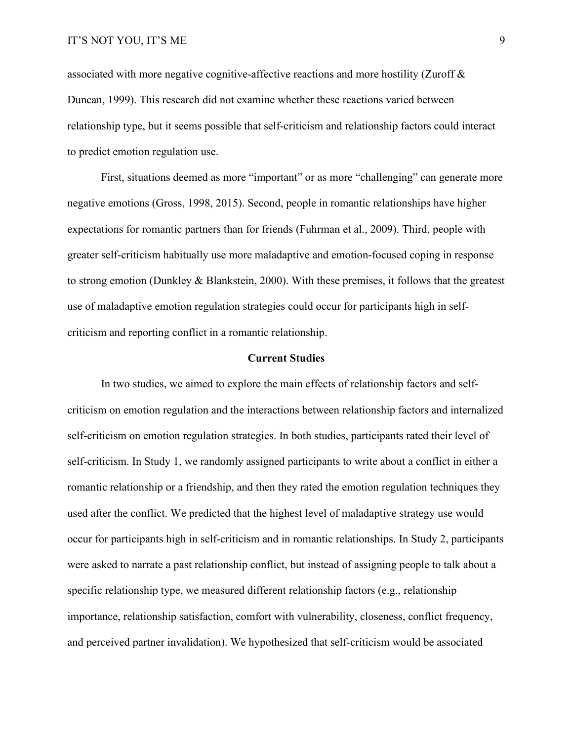associated with more negative cognitive-affective reactions and more hostility (Zuroff & Duncan, 1999). This research did not examine whether these reactions varied between relationship type, but it seems possible that self-criticism and relationship factors could interact to predict emotion regulation use.

First, situations deemed as more "important" or as more "challenging" can generate more negative emotions (Gross, 1998, 2015). Second, people in romantic relationships have higher expectations for romantic partners than for friends (Fuhrman et al., 2009). Third, people with greater self-criticism habitually use more maladaptive and emotion-focused coping in response to strong emotion (Dunkley & Blankstein, 2000). With these premises, it follows that the greatest use of maladaptive emotion regulation strategies could occur for participants high in selfcriticism and reporting conflict in a romantic relationship.

#### **Current Studies**

In two studies, we aimed to explore the main effects of relationship factors and selfcriticism on emotion regulation and the interactions between relationship factors and internalized self-criticism on emotion regulation strategies. In both studies, participants rated their level of self-criticism. In Study 1, we randomly assigned participants to write about a conflict in either a romantic relationship or a friendship, and then they rated the emotion regulation techniques they used after the conflict. We predicted that the highest level of maladaptive strategy use would occur for participants high in self-criticism and in romantic relationships. In Study 2, participants were asked to narrate a past relationship conflict, but instead of assigning people to talk about a specific relationship type, we measured different relationship factors (e.g., relationship importance, relationship satisfaction, comfort with vulnerability, closeness, conflict frequency, and perceived partner invalidation). We hypothesized that self-criticism would be associated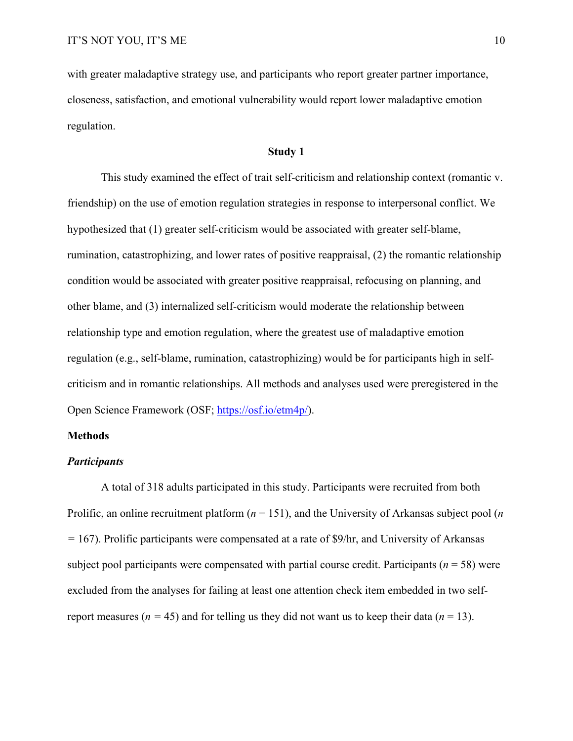with greater maladaptive strategy use, and participants who report greater partner importance, closeness, satisfaction, and emotional vulnerability would report lower maladaptive emotion regulation.

#### **Study 1**

This study examined the effect of trait self-criticism and relationship context (romantic v. friendship) on the use of emotion regulation strategies in response to interpersonal conflict. We hypothesized that (1) greater self-criticism would be associated with greater self-blame, rumination, catastrophizing, and lower rates of positive reappraisal, (2) the romantic relationship condition would be associated with greater positive reappraisal, refocusing on planning, and other blame, and (3) internalized self-criticism would moderate the relationship between relationship type and emotion regulation, where the greatest use of maladaptive emotion regulation (e.g., self-blame, rumination, catastrophizing) would be for participants high in selfcriticism and in romantic relationships. All methods and analyses used were preregistered in the Open Science Framework (OSF; [https://osf.io/etm4p/\)](https://osf.io/etm4p/).

#### **Methods**

#### *Participants*

A total of 318 adults participated in this study. Participants were recruited from both Prolific, an online recruitment platform (*n* = 151), and the University of Arkansas subject pool (*n =* 167). Prolific participants were compensated at a rate of \$9/hr, and University of Arkansas subject pool participants were compensated with partial course credit. Participants (*n* = 58) were excluded from the analyses for failing at least one attention check item embedded in two selfreport measures ( $n = 45$ ) and for telling us they did not want us to keep their data ( $n = 13$ ).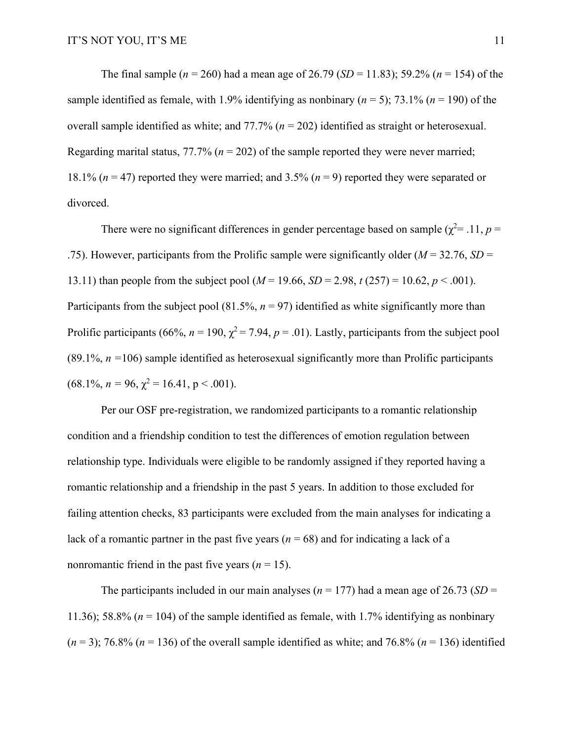The final sample (*n* = 260) had a mean age of 26.79 (*SD* = 11.83); 59.2% (*n* = 154) of the sample identified as female, with 1.9% identifying as nonbinary  $(n = 5)$ ; 73.1%  $(n = 190)$  of the overall sample identified as white; and 77.7% (*n* = 202) identified as straight or heterosexual. Regarding marital status,  $77.7\%$  ( $n = 202$ ) of the sample reported they were never married; 18.1% (*n* = 47) reported they were married; and 3.5% (*n* = 9) reported they were separated or divorced.

There were no significant differences in gender percentage based on sample  $(\chi^2 = .11, p =$ .75). However, participants from the Prolific sample were significantly older (*M* = 32.76, *SD* = 13.11) than people from the subject pool ( $M = 19.66$ ,  $SD = 2.98$ ,  $t (257) = 10.62$ ,  $p < .001$ ). Participants from the subject pool  $(81.5\%, n = 97)$  identified as white significantly more than Prolific participants (66%,  $n = 190$ ,  $\chi^2 = 7.94$ ,  $p = .01$ ). Lastly, participants from the subject pool  $(89.1\%, n = 106)$  sample identified as heterosexual significantly more than Prolific participants  $(68.1\%, n = 96, \chi^2 = 16.41, p < .001).$ 

Per our OSF pre-registration, we randomized participants to a romantic relationship condition and a friendship condition to test the differences of emotion regulation between relationship type. Individuals were eligible to be randomly assigned if they reported having a romantic relationship and a friendship in the past 5 years. In addition to those excluded for failing attention checks, 83 participants were excluded from the main analyses for indicating a lack of a romantic partner in the past five years  $(n = 68)$  and for indicating a lack of a nonromantic friend in the past five years  $(n = 15)$ .

The participants included in our main analyses ( $n = 177$ ) had a mean age of 26.73 (*SD* = 11.36); 58.8% (*n* = 104) of the sample identified as female, with 1.7% identifying as nonbinary  $(n=3)$ ; 76.8%  $(n=136)$  of the overall sample identified as white; and 76.8%  $(n=136)$  identified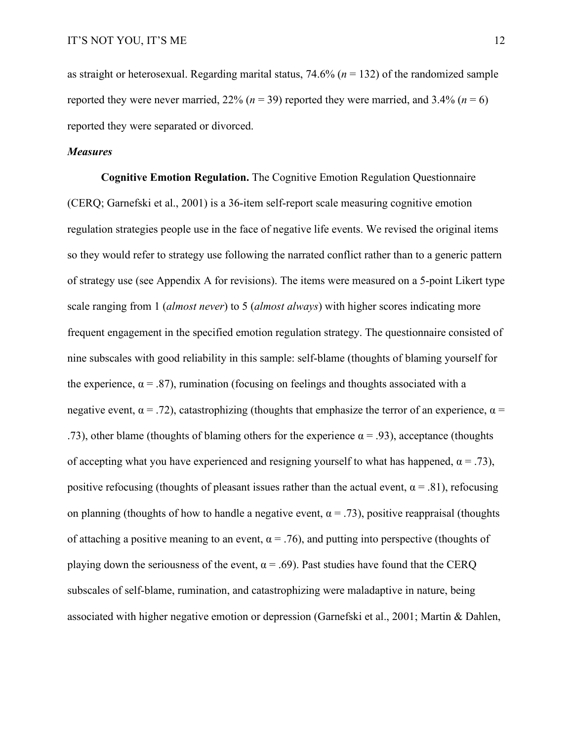as straight or heterosexual. Regarding marital status, 74.6% (*n* = 132) of the randomized sample reported they were never married,  $22\%$  ( $n = 39$ ) reported they were married, and  $3.4\%$  ( $n = 6$ ) reported they were separated or divorced.

#### *Measures*

**Cognitive Emotion Regulation.** The Cognitive Emotion Regulation Questionnaire (CERQ; Garnefski et al., 2001) is a 36-item self-report scale measuring cognitive emotion regulation strategies people use in the face of negative life events. We revised the original items so they would refer to strategy use following the narrated conflict rather than to a generic pattern of strategy use (see Appendix A for revisions). The items were measured on a 5-point Likert type scale ranging from 1 (*almost never*) to 5 (*almost always*) with higher scores indicating more frequent engagement in the specified emotion regulation strategy. The questionnaire consisted of nine subscales with good reliability in this sample: self-blame (thoughts of blaming yourself for the experience,  $\alpha = .87$ ), rumination (focusing on feelings and thoughts associated with a negative event,  $\alpha = .72$ ), catastrophizing (thoughts that emphasize the terror of an experience,  $\alpha =$ .73), other blame (thoughts of blaming others for the experience  $\alpha = .93$ ), acceptance (thoughts of accepting what you have experienced and resigning yourself to what has happened,  $\alpha = .73$ ), positive refocusing (thoughts of pleasant issues rather than the actual event,  $\alpha = .81$ ), refocusing on planning (thoughts of how to handle a negative event,  $\alpha = .73$ ), positive reappraisal (thoughts of attaching a positive meaning to an event,  $\alpha = .76$ ), and putting into perspective (thoughts of playing down the seriousness of the event,  $\alpha = .69$ ). Past studies have found that the CERQ subscales of self-blame, rumination, and catastrophizing were maladaptive in nature, being associated with higher negative emotion or depression (Garnefski et al., 2001; Martin & Dahlen,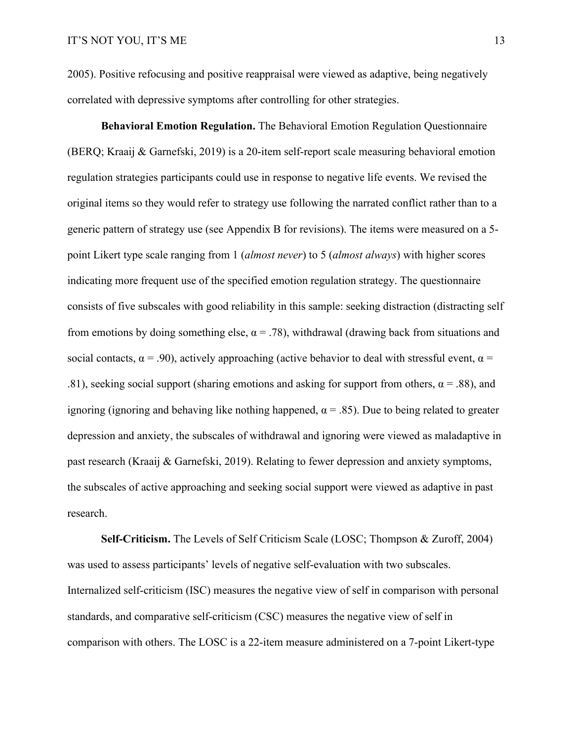2005). Positive refocusing and positive reappraisal were viewed as adaptive, being negatively correlated with depressive symptoms after controlling for other strategies.

**Behavioral Emotion Regulation.** The Behavioral Emotion Regulation Questionnaire (BERQ; Kraaij & Garnefski, 2019) is a 20-item self-report scale measuring behavioral emotion regulation strategies participants could use in response to negative life events. We revised the original items so they would refer to strategy use following the narrated conflict rather than to a generic pattern of strategy use (see Appendix B for revisions). The items were measured on a 5 point Likert type scale ranging from 1 (*almost never*) to 5 (*almost always*) with higher scores indicating more frequent use of the specified emotion regulation strategy. The questionnaire consists of five subscales with good reliability in this sample: seeking distraction (distracting self from emotions by doing something else,  $\alpha = .78$ ), withdrawal (drawing back from situations and social contacts,  $\alpha = .90$ ), actively approaching (active behavior to deal with stressful event,  $\alpha =$ .81), seeking social support (sharing emotions and asking for support from others,  $\alpha = .88$ ), and ignoring (ignoring and behaving like nothing happened,  $\alpha = .85$ ). Due to being related to greater depression and anxiety, the subscales of withdrawal and ignoring were viewed as maladaptive in past research (Kraaij & Garnefski, 2019). Relating to fewer depression and anxiety symptoms, the subscales of active approaching and seeking social support were viewed as adaptive in past research.

**Self-Criticism.** The Levels of Self Criticism Scale (LOSC; Thompson & Zuroff, 2004) was used to assess participants' levels of negative self-evaluation with two subscales. Internalized self-criticism (ISC) measures the negative view of self in comparison with personal standards, and comparative self-criticism (CSC) measures the negative view of self in comparison with others. The LOSC is a 22-item measure administered on a 7-point Likert-type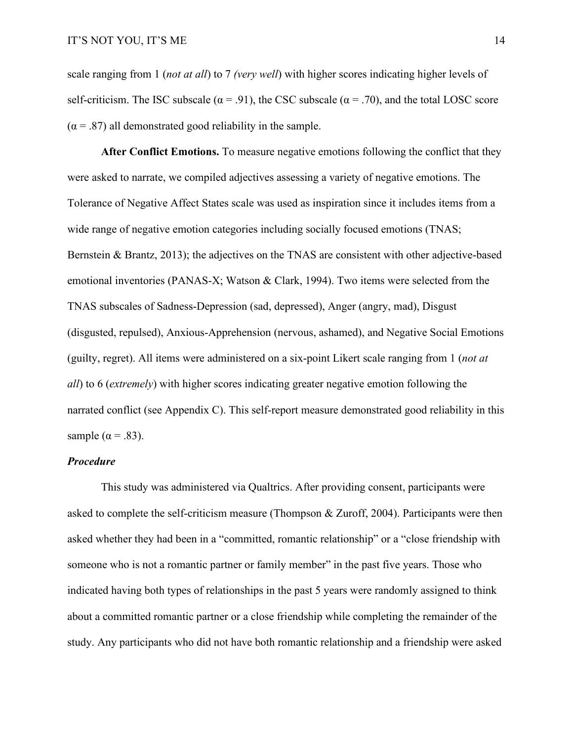scale ranging from 1 (*not at all*) to 7 *(very well*) with higher scores indicating higher levels of self-criticism. The ISC subscale ( $\alpha$  = .91), the CSC subscale ( $\alpha$  = .70), and the total LOSC score  $(\alpha = .87)$  all demonstrated good reliability in the sample.

**After Conflict Emotions.** To measure negative emotions following the conflict that they were asked to narrate, we compiled adjectives assessing a variety of negative emotions. The Tolerance of Negative Affect States scale was used as inspiration since it includes items from a wide range of negative emotion categories including socially focused emotions (TNAS; Bernstein & Brantz, 2013); the adjectives on the TNAS are consistent with other adjective-based emotional inventories (PANAS-X; Watson & Clark, 1994). Two items were selected from the TNAS subscales of Sadness-Depression (sad, depressed), Anger (angry, mad), Disgust (disgusted, repulsed), Anxious-Apprehension (nervous, ashamed), and Negative Social Emotions (guilty, regret). All items were administered on a six-point Likert scale ranging from 1 (*not at all*) to 6 (*extremely*) with higher scores indicating greater negative emotion following the narrated conflict (see Appendix C). This self-report measure demonstrated good reliability in this sample ( $\alpha$  = .83).

#### *Procedure*

This study was administered via Qualtrics. After providing consent, participants were asked to complete the self-criticism measure (Thompson & Zuroff, 2004). Participants were then asked whether they had been in a "committed, romantic relationship" or a "close friendship with someone who is not a romantic partner or family member" in the past five years. Those who indicated having both types of relationships in the past 5 years were randomly assigned to think about a committed romantic partner or a close friendship while completing the remainder of the study. Any participants who did not have both romantic relationship and a friendship were asked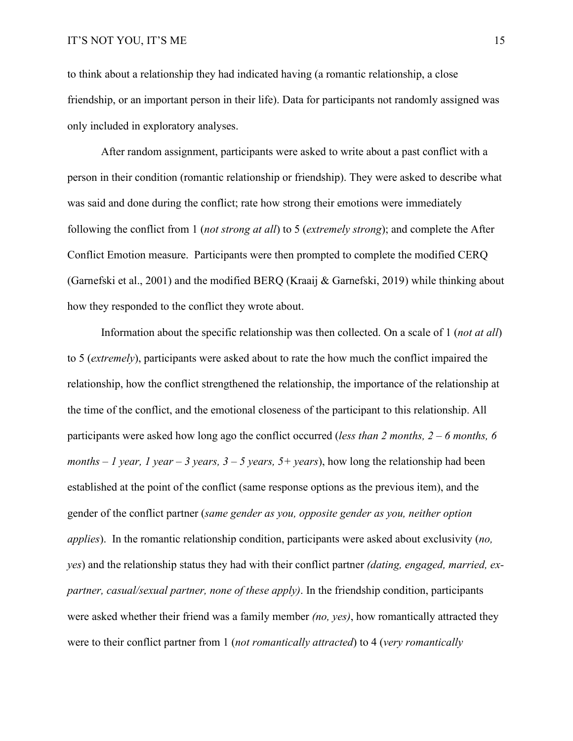to think about a relationship they had indicated having (a romantic relationship, a close friendship, or an important person in their life). Data for participants not randomly assigned was only included in exploratory analyses.

After random assignment, participants were asked to write about a past conflict with a person in their condition (romantic relationship or friendship). They were asked to describe what was said and done during the conflict; rate how strong their emotions were immediately following the conflict from 1 (*not strong at all*) to 5 (*extremely strong*); and complete the After Conflict Emotion measure. Participants were then prompted to complete the modified CERQ (Garnefski et al., 2001) and the modified BERQ (Kraaij & Garnefski, 2019) while thinking about how they responded to the conflict they wrote about.

Information about the specific relationship was then collected. On a scale of 1 (*not at all*) to 5 (*extremely*), participants were asked about to rate the how much the conflict impaired the relationship, how the conflict strengthened the relationship, the importance of the relationship at the time of the conflict, and the emotional closeness of the participant to this relationship. All participants were asked how long ago the conflict occurred (*less than 2 months, 2 – 6 months, 6 months – 1 year, 1 year – 3 years, 3 – 5 years, 5+ years*), how long the relationship had been established at the point of the conflict (same response options as the previous item), and the gender of the conflict partner (*same gender as you, opposite gender as you, neither option applies*). In the romantic relationship condition, participants were asked about exclusivity (*no, yes*) and the relationship status they had with their conflict partner *(dating, engaged, married, expartner, casual/sexual partner, none of these apply)*. In the friendship condition, participants were asked whether their friend was a family member *(no, yes)*, how romantically attracted they were to their conflict partner from 1 (*not romantically attracted*) to 4 (*very romantically*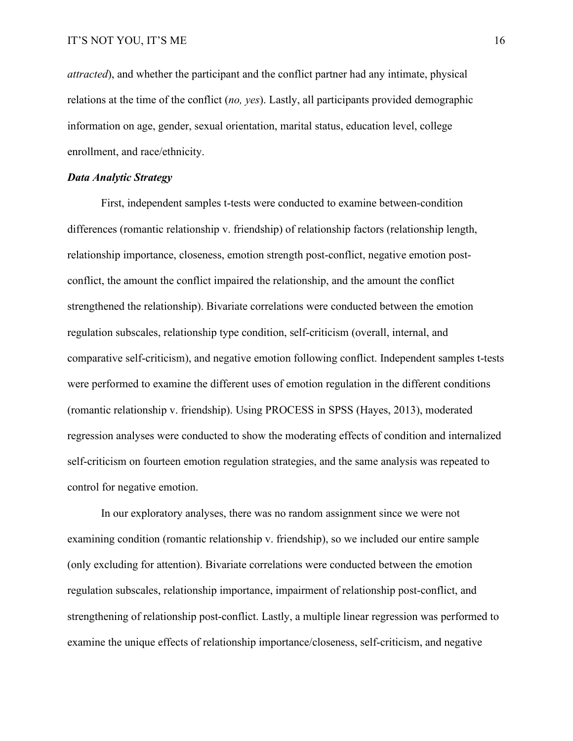*attracted*), and whether the participant and the conflict partner had any intimate, physical relations at the time of the conflict (*no, yes*). Lastly, all participants provided demographic information on age, gender, sexual orientation, marital status, education level, college enrollment, and race/ethnicity.

#### *Data Analytic Strategy*

First, independent samples t-tests were conducted to examine between-condition differences (romantic relationship v. friendship) of relationship factors (relationship length, relationship importance, closeness, emotion strength post-conflict, negative emotion postconflict, the amount the conflict impaired the relationship, and the amount the conflict strengthened the relationship). Bivariate correlations were conducted between the emotion regulation subscales, relationship type condition, self-criticism (overall, internal, and comparative self-criticism), and negative emotion following conflict. Independent samples t-tests were performed to examine the different uses of emotion regulation in the different conditions (romantic relationship v. friendship). Using PROCESS in SPSS (Hayes, 2013), moderated regression analyses were conducted to show the moderating effects of condition and internalized self-criticism on fourteen emotion regulation strategies, and the same analysis was repeated to control for negative emotion.

In our exploratory analyses, there was no random assignment since we were not examining condition (romantic relationship v. friendship), so we included our entire sample (only excluding for attention). Bivariate correlations were conducted between the emotion regulation subscales, relationship importance, impairment of relationship post-conflict, and strengthening of relationship post-conflict. Lastly, a multiple linear regression was performed to examine the unique effects of relationship importance/closeness, self-criticism, and negative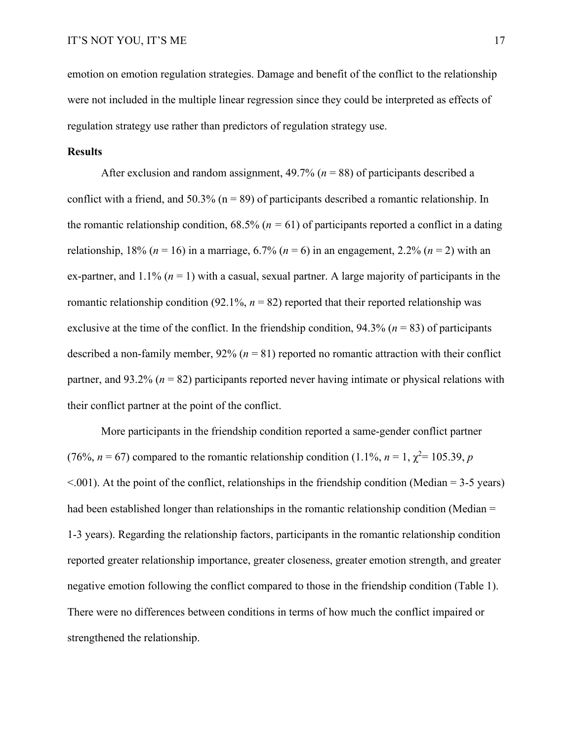emotion on emotion regulation strategies. Damage and benefit of the conflict to the relationship were not included in the multiple linear regression since they could be interpreted as effects of regulation strategy use rather than predictors of regulation strategy use.

#### **Results**

After exclusion and random assignment,  $49.7\%$  ( $n = 88$ ) of participants described a conflict with a friend, and 50.3% ( $n = 89$ ) of participants described a romantic relationship. In the romantic relationship condition,  $68.5\%$  ( $n = 61$ ) of participants reported a conflict in a dating relationship, 18% ( $n = 16$ ) in a marriage, 6.7% ( $n = 6$ ) in an engagement, 2.2% ( $n = 2$ ) with an ex-partner, and  $1.1\%$  ( $n = 1$ ) with a casual, sexual partner. A large majority of participants in the romantic relationship condition (92.1%,  $n = 82$ ) reported that their reported relationship was exclusive at the time of the conflict. In the friendship condition, 94.3% (*n* = 83) of participants described a non-family member,  $92\%$  ( $n = 81$ ) reported no romantic attraction with their conflict partner, and 93.2% (*n* = 82) participants reported never having intimate or physical relations with their conflict partner at the point of the conflict.

More participants in the friendship condition reported a same-gender conflict partner  $(76\%, n = 67)$  compared to the romantic relationship condition  $(1.1\%, n = 1, \chi^2 = 105.39, p$  $\leq$ .001). At the point of the conflict, relationships in the friendship condition (Median = 3-5 years) had been established longer than relationships in the romantic relationship condition (Median = 1-3 years). Regarding the relationship factors, participants in the romantic relationship condition reported greater relationship importance, greater closeness, greater emotion strength, and greater negative emotion following the conflict compared to those in the friendship condition (Table 1). There were no differences between conditions in terms of how much the conflict impaired or strengthened the relationship.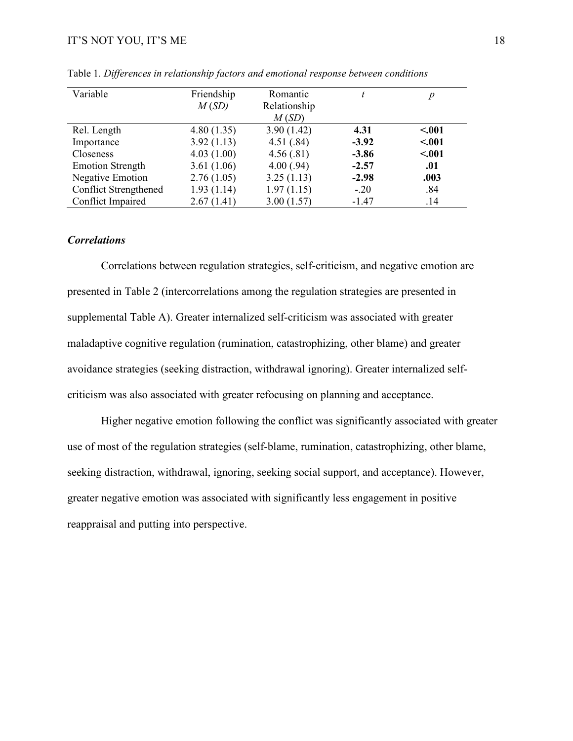| Variable                     | Friendship | Romantic     |         |        |
|------------------------------|------------|--------------|---------|--------|
|                              | M(SD)      | Relationship |         |        |
|                              |            | M(SD)        |         |        |
| Rel. Length                  | 4.80(1.35) | 3.90(1.42)   | 4.31    | < .001 |
| Importance                   | 3.92(1.13) | 4.51(.84)    | $-3.92$ | < .001 |
| Closeness                    | 4.03(1.00) | 4.56(.81)    | $-3.86$ | < .001 |
| <b>Emotion Strength</b>      | 3.61(1.06) | 4.00(.94)    | $-2.57$ | .01    |
| <b>Negative Emotion</b>      | 2.76(1.05) | 3.25(1.13)   | $-2.98$ | .003   |
| <b>Conflict Strengthened</b> | 1.93(1.14) | 1.97(1.15)   | $-.20$  | .84    |
| Conflict Impaired            | 2.67(1.41) | 3.00(1.57)   | $-1.47$ | .14    |

Table 1*. Differences in relationship factors and emotional response between conditions*

#### *Correlations*

Correlations between regulation strategies, self-criticism, and negative emotion are presented in Table 2 (intercorrelations among the regulation strategies are presented in supplemental Table A). Greater internalized self-criticism was associated with greater maladaptive cognitive regulation (rumination, catastrophizing, other blame) and greater avoidance strategies (seeking distraction, withdrawal ignoring). Greater internalized selfcriticism was also associated with greater refocusing on planning and acceptance.

Higher negative emotion following the conflict was significantly associated with greater use of most of the regulation strategies (self-blame, rumination, catastrophizing, other blame, seeking distraction, withdrawal, ignoring, seeking social support, and acceptance). However, greater negative emotion was associated with significantly less engagement in positive reappraisal and putting into perspective.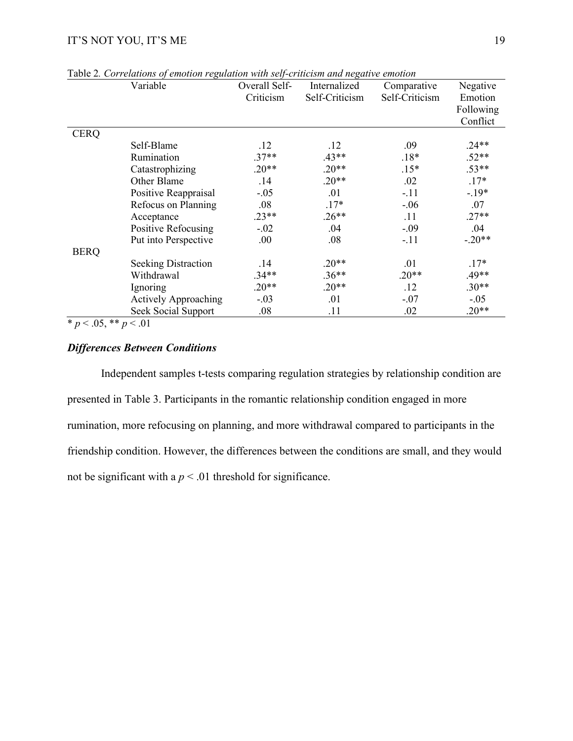|             | Variable                    | Overall Self-<br>Criticism | $\ldots$<br>Internalized<br>Self-Criticism | Comparative<br>Self-Criticism | Negative<br>Emotion<br>Following<br>Conflict |
|-------------|-----------------------------|----------------------------|--------------------------------------------|-------------------------------|----------------------------------------------|
| <b>CERQ</b> |                             |                            |                                            |                               |                                              |
|             | Self-Blame                  | .12                        | .12                                        | .09                           | $.24**$                                      |
|             | Rumination                  | $.37**$                    | $.43**$                                    | $.18*$                        | $.52**$                                      |
|             | Catastrophizing             | $.20**$                    | $.20**$                                    | $.15*$                        | $.53**$                                      |
|             | Other Blame                 | .14                        | $.20**$                                    | .02                           | $.17*$                                       |
|             | Positive Reappraisal        | $-.05$                     | .01                                        | $-.11$                        | $-.19*$                                      |
|             | Refocus on Planning         | .08                        | $.17*$                                     | $-.06$                        | .07                                          |
|             | Acceptance                  | $.23**$                    | $.26**$                                    | .11                           | $.27**$                                      |
|             | Positive Refocusing         | $-.02$                     | .04                                        | $-.09$                        | .04                                          |
|             | Put into Perspective        | .00.                       | .08                                        | $-.11$                        | $-.20**$                                     |
| <b>BERQ</b> |                             |                            |                                            |                               |                                              |
|             | <b>Seeking Distraction</b>  | .14                        | $.20**$                                    | .01                           | $.17*$                                       |
|             | Withdrawal                  | $.34**$                    | $.36**$                                    | $.20**$                       | $.49**$                                      |
|             | Ignoring                    | $.20**$                    | $.20**$                                    | .12                           | $.30**$                                      |
|             | <b>Actively Approaching</b> | $-.03$                     | .01                                        | $-.07$                        | $-.05$                                       |
|             | Seek Social Support         | .08                        | .11                                        | .02                           | $.20**$                                      |

Table 2*. Correlations of emotion regulation with self-criticism and negative emotion*

 $* p < .05, ** p < .01$ 

### *Differences Between Conditions*

Independent samples t-tests comparing regulation strategies by relationship condition are presented in Table 3. Participants in the romantic relationship condition engaged in more rumination, more refocusing on planning, and more withdrawal compared to participants in the friendship condition. However, the differences between the conditions are small, and they would not be significant with a  $p < .01$  threshold for significance.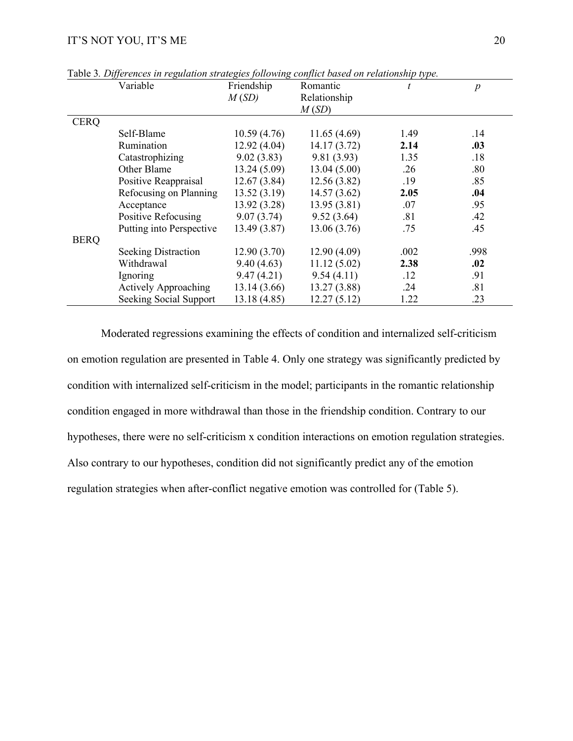|             | Variable                    | Friendship   | Romantic     |      | $\boldsymbol{p}$ |
|-------------|-----------------------------|--------------|--------------|------|------------------|
|             |                             | M(SD)        | Relationship |      |                  |
|             |                             |              | M(SD)        |      |                  |
| <b>CERQ</b> |                             |              |              |      |                  |
|             | Self-Blame                  | 10.59(4.76)  | 11.65(4.69)  | 1.49 | .14              |
|             | Rumination                  | 12.92(4.04)  | 14.17(3.72)  | 2.14 | .03              |
|             | Catastrophizing             | 9.02(3.83)   | 9.81(3.93)   | 1.35 | .18              |
|             | Other Blame                 | 13.24(5.09)  | 13.04(5.00)  | .26  | .80              |
|             | Positive Reappraisal        | 12.67(3.84)  | 12.56(3.82)  | .19  | .85              |
|             | Refocusing on Planning      | 13.52(3.19)  | 14.57(3.62)  | 2.05 | .04              |
|             | Acceptance                  | 13.92(3.28)  | 13.95(3.81)  | .07  | .95              |
|             | Positive Refocusing         | 9.07(3.74)   | 9.52(3.64)   | .81  | .42              |
|             | Putting into Perspective    | 13.49(3.87)  | 13.06(3.76)  | .75  | .45              |
| <b>BERQ</b> |                             |              |              |      |                  |
|             | <b>Seeking Distraction</b>  | 12.90(3.70)  | 12.90(4.09)  | .002 | .998             |
|             | Withdrawal                  | 9.40(4.63)   | 11.12(5.02)  | 2.38 | .02              |
|             | Ignoring                    | 9.47(4.21)   | 9.54(4.11)   | .12  | .91              |
|             | <b>Actively Approaching</b> | 13.14(3.66)  | 13.27(3.88)  | .24  | .81              |
|             | Seeking Social Support      | 13.18 (4.85) | 12.27(5.12)  | 1.22 | .23              |

Table 3*. Differences in regulation strategies following conflict based on relationship type.*

Moderated regressions examining the effects of condition and internalized self-criticism on emotion regulation are presented in Table 4. Only one strategy was significantly predicted by condition with internalized self-criticism in the model; participants in the romantic relationship condition engaged in more withdrawal than those in the friendship condition. Contrary to our hypotheses, there were no self-criticism x condition interactions on emotion regulation strategies. Also contrary to our hypotheses, condition did not significantly predict any of the emotion regulation strategies when after-conflict negative emotion was controlled for (Table 5).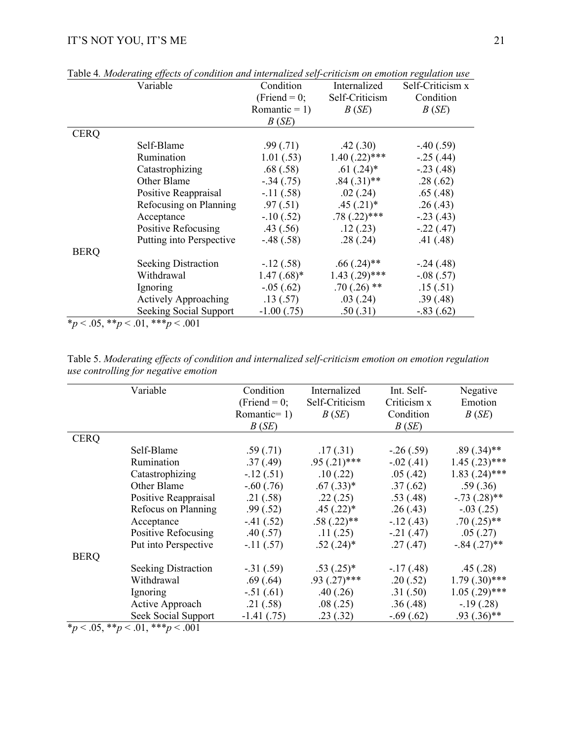|             | Table 4. Moderating effects of condition and internatized self-criticism on emotion regulation use<br>Variable | Condition             | Internalized       | Self-Criticism x |
|-------------|----------------------------------------------------------------------------------------------------------------|-----------------------|--------------------|------------------|
|             |                                                                                                                | $(Friend = 0;$        | Self-Criticism     | Condition        |
|             |                                                                                                                | Romantic = 1) $B(SE)$ |                    | B(SE)            |
|             |                                                                                                                | B(SE)                 |                    |                  |
| <b>CERQ</b> |                                                                                                                |                       |                    |                  |
|             | Self-Blame                                                                                                     | .99(0.71)             | .42(.30)           | $-.40(.59)$      |
|             | Rumination                                                                                                     | 1.01(.53)             | $1.40$ $(.22)***$  | $-.25(.44)$      |
|             | Catastrophizing                                                                                                | .68(.58)              | $.61(.24)^*$       | $-.23(.48)$      |
|             | Other Blame                                                                                                    | $-.34(.75)$           | $.84 \,(.31)^{**}$ | .28(.62)         |
|             | Positive Reappraisal                                                                                           | $-.11(.58)$           | .02(.24)           | .65(.48)         |
|             | Refocusing on Planning                                                                                         | .97(.51)              | $.45(.21)$ *       | .26(.43)         |
|             | Acceptance                                                                                                     | $-.10(.52)$           | $.78(.22)$ ***     | $-.23(.43)$      |
|             | Positive Refocusing                                                                                            | .43(.56)              | .12(.23)           | $-.22(.47)$      |
|             | Putting into Perspective                                                                                       | $-.48(.58)$           | .28(.24)           | .41(.48)         |
| <b>BERQ</b> |                                                                                                                |                       |                    |                  |
|             | <b>Seeking Distraction</b>                                                                                     | $-12(.58)$            | $.66(.24)$ **      | $-.24(.48)$      |
|             | Withdrawal                                                                                                     | $1.47(.68)$ *         | $1.43$ $(.29)$ *** | $-.08(.57)$      |
|             | Ignoring                                                                                                       | $-0.05(0.62)$         | $.70(.26)$ **      | .15(.51)         |
|             | <b>Actively Approaching</b>                                                                                    | .13(.57)              | .03(.24)           | .39(.48)         |
|             | Seeking Social Support                                                                                         | $-1.00$ (.75)         | .50(.31)           | $-.83(.62)$      |
|             | $*_p$ < .05, $*_p$ < .01, $**_p$ < .001                                                                        |                       |                    |                  |

Table 4*. Moderating effects of condition and internalized self-criticism on emotion regulation use*

|                                      |  |  |  |  | Table 5. Moderating effects of condition and internalized self-criticism emotion on emotion regulation |
|--------------------------------------|--|--|--|--|--------------------------------------------------------------------------------------------------------|
| use controlling for negative emotion |  |  |  |  |                                                                                                        |

|             | Variable                                | Condition       | Internalized   | Int. Self-  | Negative           |
|-------------|-----------------------------------------|-----------------|----------------|-------------|--------------------|
|             |                                         | (Friend = $0$ ; | Self-Criticism | Criticism x | Emotion            |
|             |                                         | Romantic= $1$ ) | B(SE)          | Condition   | B(SE)              |
|             |                                         | B(SE)           |                | B(SE)       |                    |
| <b>CERQ</b> |                                         |                 |                |             |                    |
|             | Self-Blame                              | .59(.71)        | .17(0.31)      | $-.26(.59)$ | $.89(.34)$ **      |
|             | Rumination                              | .37(.49)        | $.95(.21)$ *** | $-.02(.41)$ | $1.45$ $(.23)$ *** |
|             | Catastrophizing                         | $-.12(.51)$     | .10(.22)       | .05(0.42)   | $1.83$ $(.24)$ *** |
|             | Other Blame                             | $-.60(.76)$     | $.67$ $(.33)*$ | .37(.62)    | .59(.36)           |
|             | Positive Reappraisal                    | .21(.58)        | .22(.25)       | .53(.48)    | $-.73(.28)$ **     |
|             | Refocus on Planning                     | .99(.52)        | $.45(.22)*$    | .26(.43)    | $-.03(.25)$        |
|             | Acceptance                              | $-.41(.52)$     | $.58(.22)$ **  | $-.12(.43)$ | $.70(.25)$ **      |
|             | Positive Refocusing                     | .40(.57)        | .11(.25)       | $-.21(.47)$ | .05(.27)           |
|             | Put into Perspective                    | $-.11(.57)$     | $.52(.24)$ *   | .27(.47)    | $-.84(.27)$ **     |
| <b>BERQ</b> |                                         |                 |                |             |                    |
|             | <b>Seeking Distraction</b>              | $-.31(.59)$     | $.53(.25)^*$   | $-.17(.48)$ | .45(.28)           |
|             | Withdrawal                              | .69(.64)        | $.93(.27)$ *** | .20(.52)    | $1.79(.30)$ ***    |
|             | Ignoring                                | $-.51(.61)$     | .40(.26)       | .31(.50)    | $1.05(.29)$ ***    |
|             | Active Approach                         | .21(.58)        | .08(.25)       | .36(.48)    | $-.19(.28)$        |
|             | Seek Social Support                     | $-1.41(0.75)$   | .23(.32)       | $-.69(.62)$ | $.93(.36)$ **      |
|             | $*_p$ < .05, $*_p$ < .01, $**_p$ < .001 |                 |                |             |                    |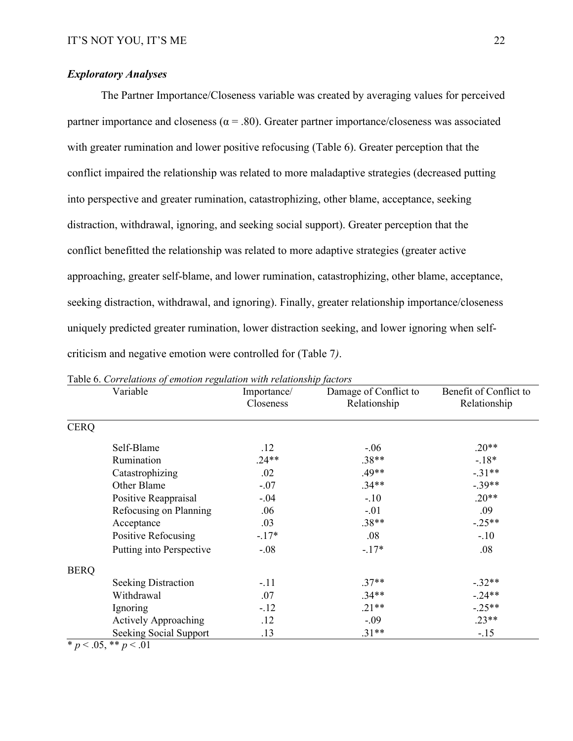### *Exploratory Analyses*

The Partner Importance/Closeness variable was created by averaging values for perceived partner importance and closeness ( $\alpha$  = .80). Greater partner importance/closeness was associated with greater rumination and lower positive refocusing (Table 6). Greater perception that the conflict impaired the relationship was related to more maladaptive strategies (decreased putting into perspective and greater rumination, catastrophizing, other blame, acceptance, seeking distraction, withdrawal, ignoring, and seeking social support). Greater perception that the conflict benefitted the relationship was related to more adaptive strategies (greater active approaching, greater self-blame, and lower rumination, catastrophizing, other blame, acceptance, seeking distraction, withdrawal, and ignoring). Finally, greater relationship importance/closeness uniquely predicted greater rumination, lower distraction seeking, and lower ignoring when selfcriticism and negative emotion were controlled for (Table 7*)*.

|             | Variable                    | Importance/<br>Closeness | Damage of Conflict to<br>Relationship | Benefit of Conflict to<br>Relationship |
|-------------|-----------------------------|--------------------------|---------------------------------------|----------------------------------------|
| <b>CERQ</b> |                             |                          |                                       |                                        |
|             | Self-Blame                  | .12                      | $-.06$                                | $.20**$                                |
|             | Rumination                  | $.24**$                  | $.38**$                               | $-18*$                                 |
|             | Catastrophizing             | .02                      | .49**                                 | $-.31**$                               |
|             | Other Blame                 | $-.07$                   | $.34**$                               | $-.39**$                               |
|             | Positive Reappraisal        | $-.04$                   | $-.10$                                | $.20**$                                |
|             | Refocusing on Planning      | .06                      | $-.01$                                | .09                                    |
|             | Acceptance                  | .03                      | $.38**$                               | $-.25**$                               |
|             | Positive Refocusing         | $-17*$                   | .08                                   | $-.10$                                 |
|             | Putting into Perspective    | $-.08$                   | $-17*$                                | .08                                    |
| <b>BERQ</b> |                             |                          |                                       |                                        |
|             | <b>Seeking Distraction</b>  | $-.11$                   | $.37**$                               | $-.32**$                               |
|             | Withdrawal                  | .07                      | $.34**$                               | $-.24**$                               |
|             | Ignoring                    | $-.12$                   | $.21**$                               | $-.25**$                               |
|             | <b>Actively Approaching</b> | .12                      | $-.09$                                | $.23**$                                |
|             | Seeking Social Support      | .13                      | $.31**$                               | $-.15$                                 |

Table 6. *Correlations of emotion regulation with relationship factors*

 $\overline{*}$  *p* < .05, \*\* *p* < .01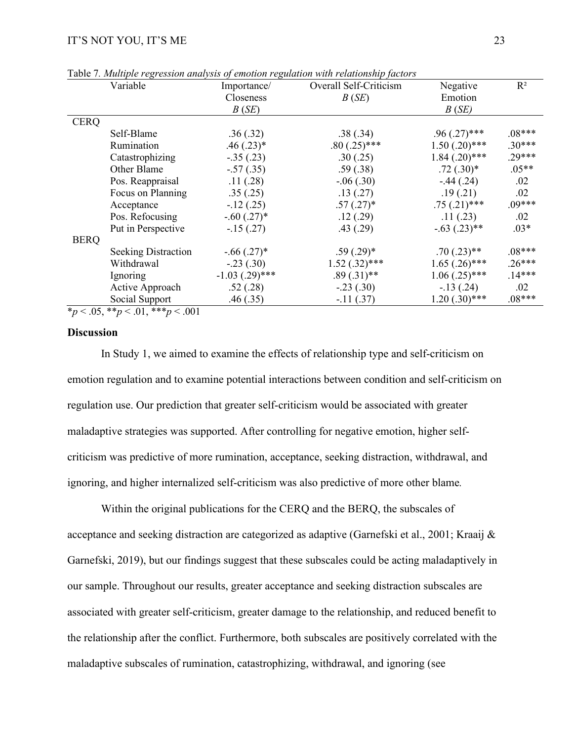|             | Variable                   | Importance/      | Overall Self-Criticism | Negative           | $R^2$    |
|-------------|----------------------------|------------------|------------------------|--------------------|----------|
|             |                            | Closeness        | B(SE)                  | Emotion            |          |
|             |                            | B(SE)            |                        | B(SE)              |          |
| <b>CERQ</b> |                            |                  |                        |                    |          |
|             | Self-Blame                 | .36(.32)         | .38(.34)               | $.96(.27)$ ***     | $.08***$ |
|             | Rumination                 | $.46(.23)*$      | $.80(.25)$ ***         | $1.50(.20)$ ***    | $.30***$ |
|             | Catastrophizing            | $-.35(.23)$      | .30(.25)               | $1.84$ $(.20)$ *** | $.29***$ |
|             | Other Blame                | $-.57(.35)$      | .59(.38)               | $.72(.30)*$        | $.05**$  |
|             | Pos. Reappraisal           | .11(.28)         | $-.06(.30)$            | $-.44(.24)$        | .02      |
|             | Focus on Planning          | .35(.25)         | .13(.27)               | .19(.21)           | .02      |
|             | Acceptance                 | $-12(0.25)$      | $.57(.27)$ *           | $.75(.21)$ ***     | $.09***$ |
|             | Pos. Refocusing            | $-.60(.27)*$     | .12(.29)               | .11(.23)           | .02      |
|             | Put in Perspective         | $-15(0.27)$      | .43(.29)               | $-.63(.23)**$      | $.03*$   |
| <b>BERQ</b> |                            |                  |                        |                    |          |
|             | <b>Seeking Distraction</b> | $-.66(.27)$ *    | $.59(.29)$ *           | $.70(.23)$ **      | $.08***$ |
|             | Withdrawal                 | $-.23(.30)$      | $1.52(.32)$ ***        | $1.65$ $(.26)$ *** | $.26***$ |
|             | Ignoring                   | $-1.03$ (.29)*** | $.89(.31)$ **          | $1.06(.25)$ ***    | $.14***$ |
|             | Active Approach            | .52(.28)         | $-.23(.30)$            | $-13(0.24)$        | .02      |
|             | Social Support             | .46(.35)         | $-11(.37)$             | $1.20(.30)$ ***    | $.08***$ |

Table 7*. Multiple regression analysis of emotion regulation with relationship factors*

 $*_p$  < .05,  $*_p$  < .01,  $**_p$  < .001

#### **Discussion**

In Study 1, we aimed to examine the effects of relationship type and self-criticism on emotion regulation and to examine potential interactions between condition and self-criticism on regulation use. Our prediction that greater self-criticism would be associated with greater maladaptive strategies was supported. After controlling for negative emotion, higher selfcriticism was predictive of more rumination, acceptance, seeking distraction, withdrawal, and ignoring, and higher internalized self-criticism was also predictive of more other blame*.*

Within the original publications for the CERQ and the BERQ, the subscales of acceptance and seeking distraction are categorized as adaptive (Garnefski et al., 2001; Kraaij & Garnefski, 2019), but our findings suggest that these subscales could be acting maladaptively in our sample. Throughout our results, greater acceptance and seeking distraction subscales are associated with greater self-criticism, greater damage to the relationship, and reduced benefit to the relationship after the conflict. Furthermore, both subscales are positively correlated with the maladaptive subscales of rumination, catastrophizing, withdrawal, and ignoring (see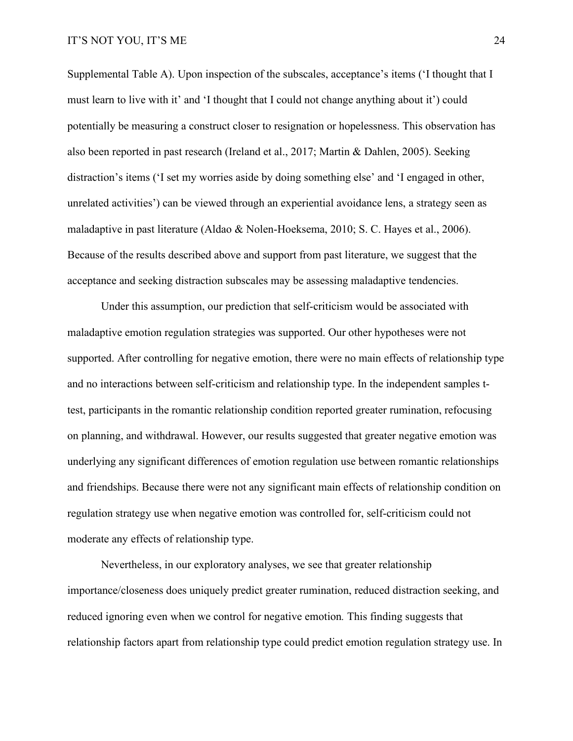Supplemental Table A). Upon inspection of the subscales, acceptance's items ('I thought that I must learn to live with it' and 'I thought that I could not change anything about it') could potentially be measuring a construct closer to resignation or hopelessness. This observation has also been reported in past research (Ireland et al., 2017; Martin & Dahlen, 2005). Seeking distraction's items ('I set my worries aside by doing something else' and 'I engaged in other, unrelated activities') can be viewed through an experiential avoidance lens, a strategy seen as maladaptive in past literature (Aldao & Nolen-Hoeksema, 2010; S. C. Hayes et al., 2006). Because of the results described above and support from past literature, we suggest that the acceptance and seeking distraction subscales may be assessing maladaptive tendencies.

Under this assumption, our prediction that self-criticism would be associated with maladaptive emotion regulation strategies was supported. Our other hypotheses were not supported. After controlling for negative emotion, there were no main effects of relationship type and no interactions between self-criticism and relationship type. In the independent samples ttest, participants in the romantic relationship condition reported greater rumination, refocusing on planning, and withdrawal. However, our results suggested that greater negative emotion was underlying any significant differences of emotion regulation use between romantic relationships and friendships. Because there were not any significant main effects of relationship condition on regulation strategy use when negative emotion was controlled for, self-criticism could not moderate any effects of relationship type.

Nevertheless, in our exploratory analyses, we see that greater relationship importance/closeness does uniquely predict greater rumination, reduced distraction seeking, and reduced ignoring even when we control for negative emotion*.* This finding suggests that relationship factors apart from relationship type could predict emotion regulation strategy use. In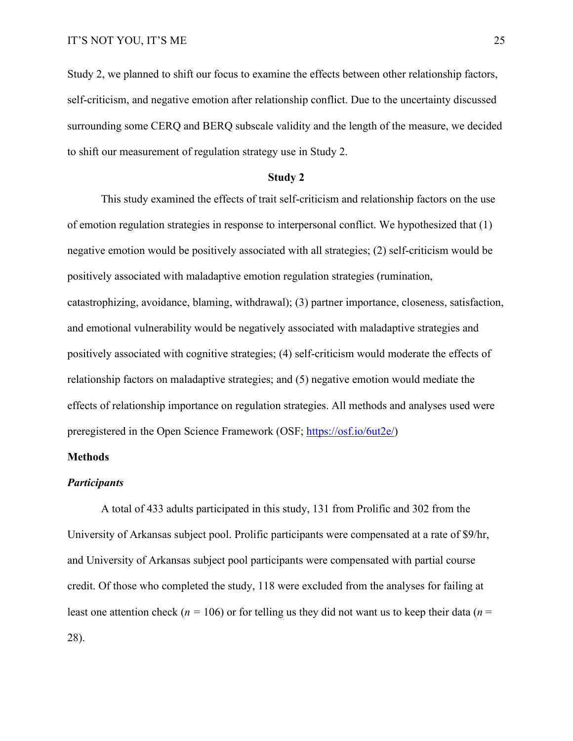Study 2, we planned to shift our focus to examine the effects between other relationship factors, self-criticism, and negative emotion after relationship conflict. Due to the uncertainty discussed surrounding some CERQ and BERQ subscale validity and the length of the measure, we decided to shift our measurement of regulation strategy use in Study 2.

#### **Study 2**

This study examined the effects of trait self-criticism and relationship factors on the use of emotion regulation strategies in response to interpersonal conflict. We hypothesized that (1) negative emotion would be positively associated with all strategies; (2) self-criticism would be positively associated with maladaptive emotion regulation strategies (rumination, catastrophizing, avoidance, blaming, withdrawal); (3) partner importance, closeness, satisfaction, and emotional vulnerability would be negatively associated with maladaptive strategies and positively associated with cognitive strategies; (4) self-criticism would moderate the effects of relationship factors on maladaptive strategies; and (5) negative emotion would mediate the effects of relationship importance on regulation strategies. All methods and analyses used were preregistered in the Open Science Framework (OSF; [https://osf.io/6ut2e/\)](https://osf.io/6ut2e/)

#### **Methods**

#### *Participants*

A total of 433 adults participated in this study, 131 from Prolific and 302 from the University of Arkansas subject pool. Prolific participants were compensated at a rate of \$9/hr, and University of Arkansas subject pool participants were compensated with partial course credit. Of those who completed the study, 118 were excluded from the analyses for failing at least one attention check ( $n = 106$ ) or for telling us they did not want us to keep their data ( $n =$ 28).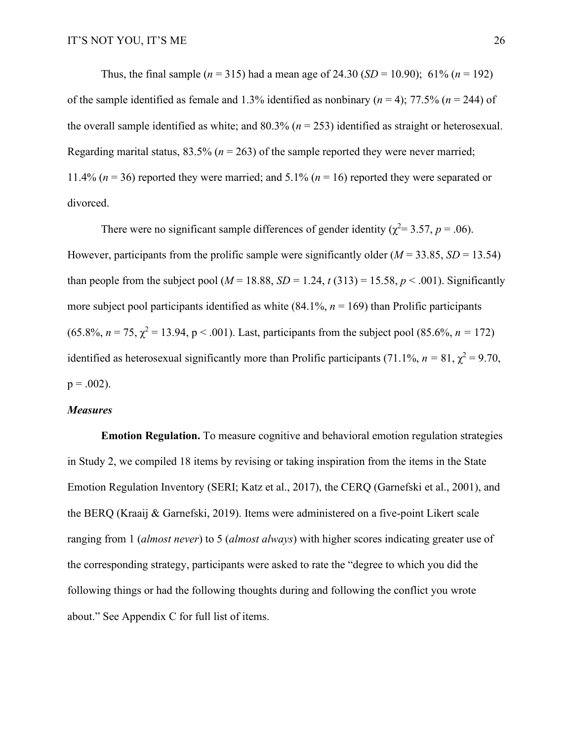Thus, the final sample ( $n = 315$ ) had a mean age of 24.30 (*SD* = 10.90); 61% ( $n = 192$ ) of the sample identified as female and 1.3% identified as nonbinary ( $n = 4$ ); 77.5% ( $n = 244$ ) of the overall sample identified as white; and 80.3% (*n* = 253) identified as straight or heterosexual. Regarding marital status,  $83.5\%$  ( $n = 263$ ) of the sample reported they were never married; 11.4% (*n* = 36) reported they were married; and 5.1% (*n* = 16) reported they were separated or divorced.

There were no significant sample differences of gender identity ( $\chi^2$  = 3.57, *p* = .06). However, participants from the prolific sample were significantly older  $(M = 33.85, SD = 13.54)$ than people from the subject pool ( $M = 18.88$ ,  $SD = 1.24$ ,  $t(313) = 15.58$ ,  $p < .001$ ). Significantly more subject pool participants identified as white  $(84.1\%, n = 169)$  than Prolific participants  $(65.8\%, n = 75, \gamma^2 = 13.94, p < .001)$ . Last, participants from the subject pool  $(85.6\%, n = 172)$ identified as heterosexual significantly more than Prolific participants (71.1%,  $n = 81$ ,  $\chi^2 = 9.70$ ,  $p = .002$ ).

#### *Measures*

**Emotion Regulation.** To measure cognitive and behavioral emotion regulation strategies in Study 2, we compiled 18 items by revising or taking inspiration from the items in the State Emotion Regulation Inventory (SERI; Katz et al., 2017), the CERQ (Garnefski et al., 2001), and the BERQ (Kraaij & Garnefski, 2019). Items were administered on a five-point Likert scale ranging from 1 (*almost never*) to 5 (*almost always*) with higher scores indicating greater use of the corresponding strategy, participants were asked to rate the "degree to which you did the following things or had the following thoughts during and following the conflict you wrote about." See Appendix C for full list of items.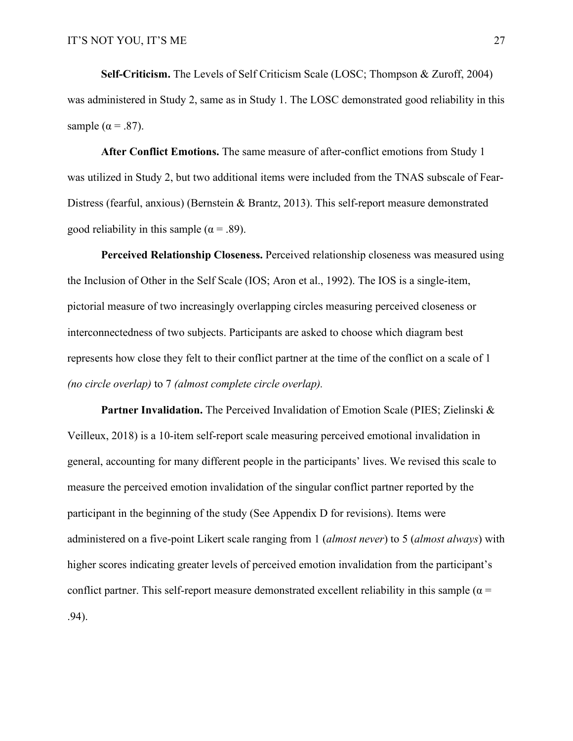**Self-Criticism.** The Levels of Self Criticism Scale (LOSC; Thompson & Zuroff, 2004) was administered in Study 2, same as in Study 1. The LOSC demonstrated good reliability in this sample ( $\alpha$  = .87).

**After Conflict Emotions.** The same measure of after-conflict emotions from Study 1 was utilized in Study 2, but two additional items were included from the TNAS subscale of Fear-Distress (fearful, anxious) (Bernstein & Brantz, 2013). This self-report measure demonstrated good reliability in this sample ( $\alpha$  = .89).

**Perceived Relationship Closeness.** Perceived relationship closeness was measured using the Inclusion of Other in the Self Scale (IOS; Aron et al., 1992). The IOS is a single-item, pictorial measure of two increasingly overlapping circles measuring perceived closeness or interconnectedness of two subjects. Participants are asked to choose which diagram best represents how close they felt to their conflict partner at the time of the conflict on a scale of 1 *(no circle overlap)* to 7 *(almost complete circle overlap).*

**Partner Invalidation.** The Perceived Invalidation of Emotion Scale (PIES; Zielinski & Veilleux, 2018) is a 10-item self-report scale measuring perceived emotional invalidation in general, accounting for many different people in the participants' lives. We revised this scale to measure the perceived emotion invalidation of the singular conflict partner reported by the participant in the beginning of the study (See Appendix D for revisions). Items were administered on a five-point Likert scale ranging from 1 (*almost never*) to 5 (*almost always*) with higher scores indicating greater levels of perceived emotion invalidation from the participant's conflict partner. This self-report measure demonstrated excellent reliability in this sample ( $\alpha$  = .94).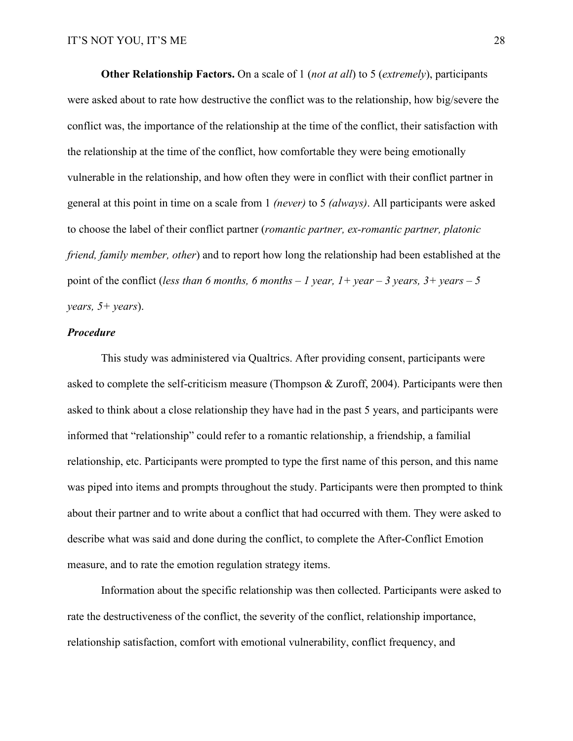**Other Relationship Factors.** On a scale of 1 (*not at all*) to 5 (*extremely*), participants were asked about to rate how destructive the conflict was to the relationship, how big/severe the conflict was, the importance of the relationship at the time of the conflict, their satisfaction with the relationship at the time of the conflict, how comfortable they were being emotionally vulnerable in the relationship, and how often they were in conflict with their conflict partner in general at this point in time on a scale from 1 *(never)* to 5 *(always)*. All participants were asked to choose the label of their conflict partner (*romantic partner, ex-romantic partner, platonic friend, family member, other*) and to report how long the relationship had been established at the point of the conflict (*less than 6 months, 6 months – 1 year, 1+ year – 3 years, 3+ years – 5 years, 5+ years*).

#### *Procedure*

This study was administered via Qualtrics. After providing consent, participants were asked to complete the self-criticism measure (Thompson & Zuroff, 2004). Participants were then asked to think about a close relationship they have had in the past 5 years, and participants were informed that "relationship" could refer to a romantic relationship, a friendship, a familial relationship, etc. Participants were prompted to type the first name of this person, and this name was piped into items and prompts throughout the study. Participants were then prompted to think about their partner and to write about a conflict that had occurred with them. They were asked to describe what was said and done during the conflict, to complete the After-Conflict Emotion measure, and to rate the emotion regulation strategy items.

Information about the specific relationship was then collected. Participants were asked to rate the destructiveness of the conflict, the severity of the conflict, relationship importance, relationship satisfaction, comfort with emotional vulnerability, conflict frequency, and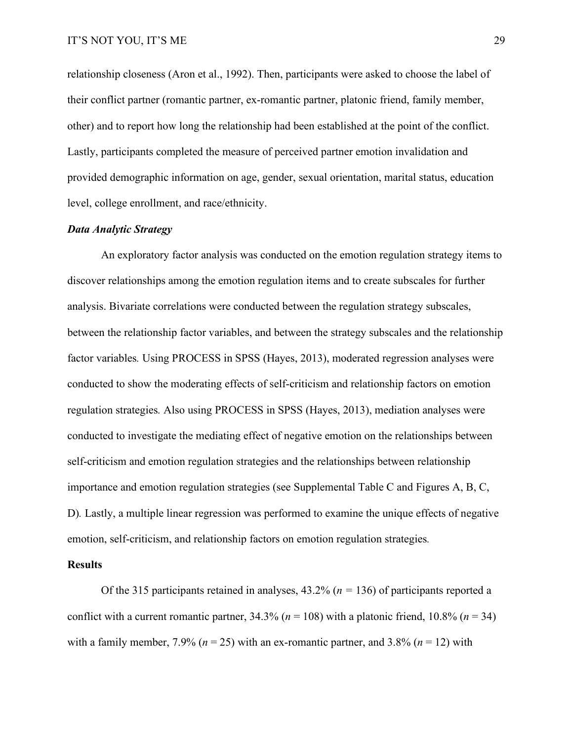relationship closeness (Aron et al., 1992). Then, participants were asked to choose the label of their conflict partner (romantic partner, ex-romantic partner, platonic friend, family member, other) and to report how long the relationship had been established at the point of the conflict. Lastly, participants completed the measure of perceived partner emotion invalidation and provided demographic information on age, gender, sexual orientation, marital status, education level, college enrollment, and race/ethnicity.

#### *Data Analytic Strategy*

An exploratory factor analysis was conducted on the emotion regulation strategy items to discover relationships among the emotion regulation items and to create subscales for further analysis. Bivariate correlations were conducted between the regulation strategy subscales, between the relationship factor variables, and between the strategy subscales and the relationship factor variables*.* Using PROCESS in SPSS (Hayes, 2013), moderated regression analyses were conducted to show the moderating effects of self-criticism and relationship factors on emotion regulation strategies*.* Also using PROCESS in SPSS (Hayes, 2013), mediation analyses were conducted to investigate the mediating effect of negative emotion on the relationships between self-criticism and emotion regulation strategies and the relationships between relationship importance and emotion regulation strategies (see Supplemental Table C and Figures A, B, C, D)*.* Lastly, a multiple linear regression was performed to examine the unique effects of negative emotion, self-criticism, and relationship factors on emotion regulation strategies*.*

#### **Results**

Of the 315 participants retained in analyses, 43.2% (*n =* 136) of participants reported a conflict with a current romantic partner,  $34.3\%$  ( $n = 108$ ) with a platonic friend,  $10.8\%$  ( $n = 34$ ) with a family member,  $7.9\%$  ( $n = 25$ ) with an ex-romantic partner, and  $3.8\%$  ( $n = 12$ ) with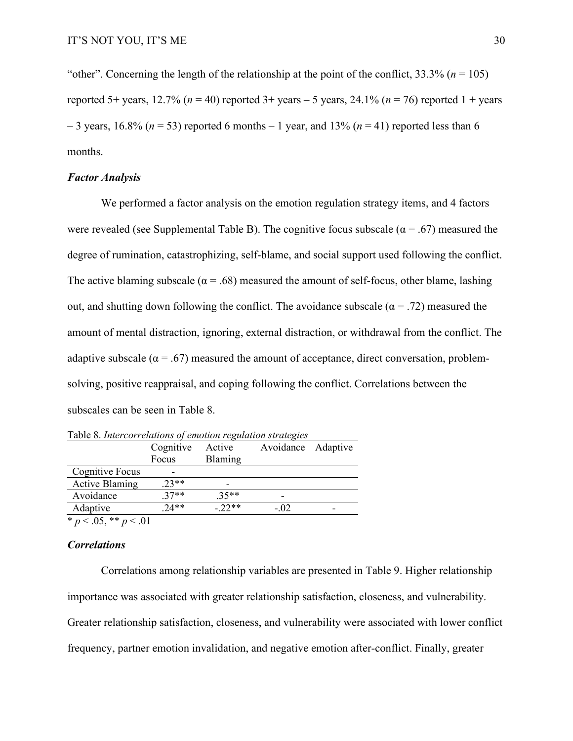"other". Concerning the length of the relationship at the point of the conflict,  $33.3\%$  ( $n = 105$ ) reported 5+ years, 12.7% ( $n = 40$ ) reported 3+ years – 5 years, 24.1% ( $n = 76$ ) reported 1 + years  $-3$  years, 16.8% ( $n = 53$ ) reported 6 months  $-1$  year, and 13% ( $n = 41$ ) reported less than 6 months.

#### *Factor Analysis*

We performed a factor analysis on the emotion regulation strategy items, and 4 factors were revealed (see Supplemental Table B). The cognitive focus subscale ( $\alpha$  = .67) measured the degree of rumination, catastrophizing, self-blame, and social support used following the conflict. The active blaming subscale ( $\alpha$  = .68) measured the amount of self-focus, other blame, lashing out, and shutting down following the conflict. The avoidance subscale ( $\alpha = .72$ ) measured the amount of mental distraction, ignoring, external distraction, or withdrawal from the conflict. The adaptive subscale ( $\alpha = .67$ ) measured the amount of acceptance, direct conversation, problemsolving, positive reappraisal, and coping following the conflict. Correlations between the subscales can be seen in Table 8.

|                            | Table 6. Intercorretations of emotion regulation strategies |          |                    |  |  |  |  |  |
|----------------------------|-------------------------------------------------------------|----------|--------------------|--|--|--|--|--|
|                            | Cognitive                                                   | Active   | Avoidance Adaptive |  |  |  |  |  |
|                            | Focus                                                       | Blaming  |                    |  |  |  |  |  |
| Cognitive Focus            |                                                             |          |                    |  |  |  |  |  |
| <b>Active Blaming</b>      | $.23**$                                                     |          |                    |  |  |  |  |  |
| Avoidance                  | $.37**$                                                     | $35**$   |                    |  |  |  |  |  |
| Adaptive                   | $74**$                                                      | $-.22**$ | $-.02$             |  |  |  |  |  |
| * $p < .05$ , ** $p < .01$ |                                                             |          |                    |  |  |  |  |  |

Table 8. *Intercorrelations of emotion regulation strategies*

*Correlations*

Correlations among relationship variables are presented in Table 9. Higher relationship importance was associated with greater relationship satisfaction, closeness, and vulnerability. Greater relationship satisfaction, closeness, and vulnerability were associated with lower conflict frequency, partner emotion invalidation, and negative emotion after-conflict. Finally, greater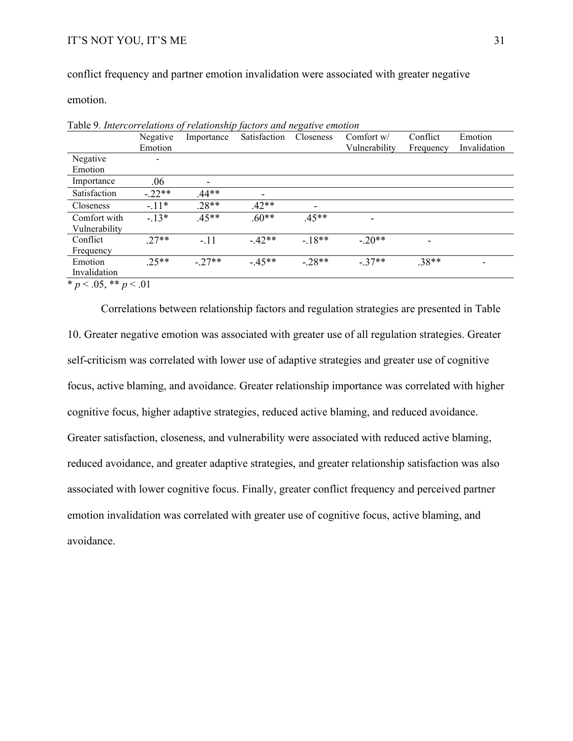conflict frequency and partner emotion invalidation were associated with greater negative

emotion.

|                            | Negative                 | Importance | Satisfaction             | Closeness | Comfort w/    | Conflict  | Emotion      |
|----------------------------|--------------------------|------------|--------------------------|-----------|---------------|-----------|--------------|
|                            | Emotion                  |            |                          |           | Vulnerability | Frequency | Invalidation |
| Negative                   | $\overline{\phantom{0}}$ |            |                          |           |               |           |              |
| Emotion                    |                          |            |                          |           |               |           |              |
| Importance                 | .06                      |            |                          |           |               |           |              |
| Satisfaction               | $-.22**$                 | $.44**$    | $\overline{\phantom{a}}$ |           |               |           |              |
| Closeness                  | $-11*$                   | $.28**$    | $.42**$                  |           |               |           |              |
| Comfort with               | $-13*$                   | $.45**$    | $.60**$                  | $.45**$   |               |           |              |
| Vulnerability              |                          |            |                          |           |               |           |              |
| Conflict                   | $27**$                   | $-.11$     | $-42**$                  | $-18**$   | $-.20**$      |           |              |
| Frequency                  |                          |            |                          |           |               |           |              |
| Emotion                    | $25**$                   | $-.27**$   | $-45**$                  | $-.28**$  | $-.37**$      | $.38**$   |              |
| Invalidation               |                          |            |                          |           |               |           |              |
| * $p < .05$ , ** $p < .01$ |                          |            |                          |           |               |           |              |

Table 9*. Intercorrelations of relationship factors and negative emotion*

Correlations between relationship factors and regulation strategies are presented in Table 10. Greater negative emotion was associated with greater use of all regulation strategies. Greater self-criticism was correlated with lower use of adaptive strategies and greater use of cognitive focus, active blaming, and avoidance. Greater relationship importance was correlated with higher cognitive focus, higher adaptive strategies, reduced active blaming, and reduced avoidance. Greater satisfaction, closeness, and vulnerability were associated with reduced active blaming, reduced avoidance, and greater adaptive strategies, and greater relationship satisfaction was also associated with lower cognitive focus. Finally, greater conflict frequency and perceived partner emotion invalidation was correlated with greater use of cognitive focus, active blaming, and avoidance.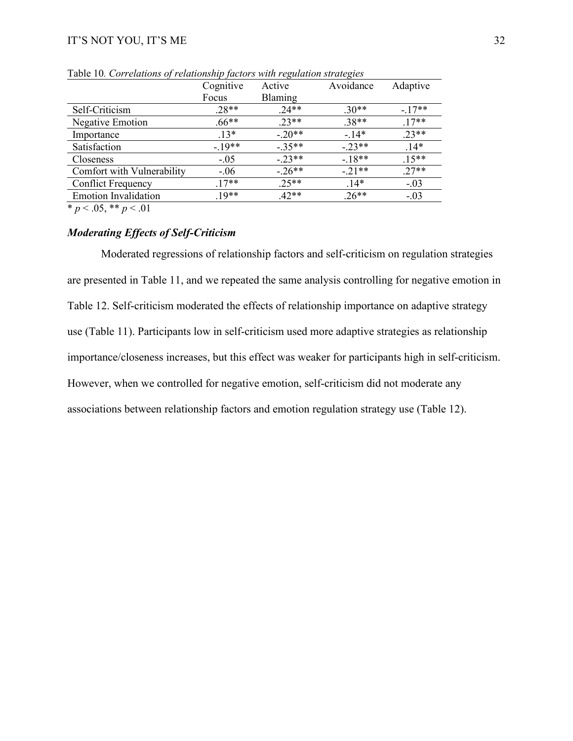|                             | Cognitive | Active   | Avoidance | Adaptive |
|-----------------------------|-----------|----------|-----------|----------|
|                             | Focus     | Blaming  |           |          |
| Self-Criticism              | $.28**$   | $.24**$  | $.30**$   | $-17**$  |
| Negative Emotion            | $.66**$   | $.23**$  | $.38**$   | $.17**$  |
| Importance                  | $.13*$    | $-.20**$ | $-14*$    | $.23**$  |
| Satisfaction                | $-19**$   | $-35**$  | $-23**$   | $.14*$   |
| <b>Closeness</b>            | $-.05$    | $-23**$  | $-18**$   | $.15**$  |
| Comfort with Vulnerability  | $-0.06$   | $-.26**$ | $-.21**$  | $.27**$  |
| <b>Conflict Frequency</b>   | $.17**$   | $.25**$  | $14*$     | $-.03$   |
| <b>Emotion Invalidation</b> | $.19**$   | $.42**$  | $.26**$   | $-.03$   |

Table 10*. Correlations of relationship factors with regulation strategies*

 $\overline{\ast p}$  < .05,  $\overline{\ast p}$  < .01

### *Moderating Effects of Self-Criticism*

Moderated regressions of relationship factors and self-criticism on regulation strategies are presented in Table 11, and we repeated the same analysis controlling for negative emotion in Table 12. Self-criticism moderated the effects of relationship importance on adaptive strategy use (Table 11). Participants low in self-criticism used more adaptive strategies as relationship importance/closeness increases, but this effect was weaker for participants high in self-criticism. However, when we controlled for negative emotion, self-criticism did not moderate any associations between relationship factors and emotion regulation strategy use (Table 12).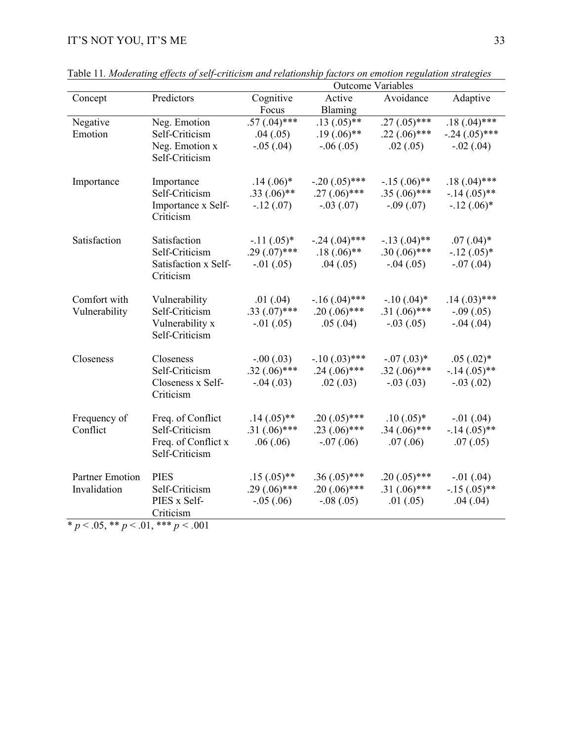|                                |                                       |                                 | <b>Outcome Variables</b> |                               |                          |
|--------------------------------|---------------------------------------|---------------------------------|--------------------------|-------------------------------|--------------------------|
| Concept                        | Predictors                            | Cognitive                       | Active                   | Avoidance                     | Adaptive                 |
|                                |                                       | Focus                           | Blaming                  |                               |                          |
| Negative                       | Neg. Emotion                          | $.57(.04)$ ***                  | $.13(.05)$ **            | $.27(.05)$ ***                | $.18(.04)***$            |
| Emotion                        | Self-Criticism                        | .04(.05)                        | $.19(.06)$ **            | $.22(.06)$ ***                | $-.24(.05)$ ***          |
|                                | Neg. Emotion x                        | $-.05(.04)$                     | $-.06(.05)$              | .02(.05)                      | $-.02(.04)$              |
|                                | Self-Criticism                        |                                 |                          |                               |                          |
|                                |                                       |                                 |                          |                               |                          |
| Importance                     | Importance                            | $.14(.06)$ *                    | $-.20(.05)$ ***          | $-.15(.06)$ **                | $.18(.04)$ ***           |
|                                | Self-Criticism                        | $.33(.06)$ **                   | $.27(.06)$ ***           | $.35(.06)$ ***                | $-14(0.05)$ **           |
|                                | Importance x Self-                    | $-.12(.07)$                     | $-.03(.07)$              | $-.09(.07)$                   | $-12$ (.06) <sup>*</sup> |
|                                | Criticism                             |                                 |                          |                               |                          |
| Satisfaction                   | Satisfaction                          | $-11(.05)*$                     | $-.24(.04)$ ***          | $-.13(.04)$ **                | $.07(.04)*$              |
|                                | Self-Criticism                        | $.29(.07)$ ***                  | $.18(.06)$ **            | $.30(.06)$ ***                | $-.12(.05)*$             |
|                                | Satisfaction x Self-                  | $-.01(.05)$                     | .04(.05)                 | $-.04(.05)$                   | $-.07(.04)$              |
|                                | Criticism                             |                                 |                          |                               |                          |
|                                |                                       |                                 |                          |                               |                          |
| Comfort with                   | Vulnerability                         | .01(.04)                        | $-16(0.04)$ ***          | $-10(.04)^*$                  | $.14(.03)$ ***           |
| Vulnerability                  | Self-Criticism                        | $.33(.07)$ ***                  | $.20(.06)$ ***           | $.31(.06)$ ***                | $-.09(.05)$              |
|                                | Vulnerability x                       | $-.01(.05)$                     | .05(.04)                 | $-.03(.05)$                   | $-.04(.04)$              |
|                                | Self-Criticism                        |                                 |                          |                               |                          |
|                                |                                       |                                 |                          |                               |                          |
| Closeness                      | Closeness                             | $-.00(.03)$                     | $-.10(.03)$ ***          | $-0.07(0.03)*$                | $.05(.02)*$              |
|                                | Self-Criticism                        | $.32(.06)$ ***                  | $.24(.06)$ ***           | $.32(.06)$ ***                | $-.14(.05)$ **           |
|                                | Closeness x Self-                     | $-.04(.03)$                     | .02(.03)                 | $-.03(.03)$                   | $-.03(.02)$              |
|                                | Criticism                             |                                 |                          |                               |                          |
|                                |                                       |                                 |                          |                               |                          |
| Frequency of                   | Freq. of Conflict<br>Self-Criticism   | $.14(.05)$ **<br>$.31(.06)$ *** | $.20(.05)$ ***           | $.10(.05)*$<br>$.34(.06)$ *** | $-.01(.04)$              |
| Conflict                       |                                       |                                 | $.23(.06)$ ***           |                               | $-.14(.05)$ **           |
|                                | Freq. of Conflict x<br>Self-Criticism | .06(.06)                        | $-.07(.06)$              | .07(0.06)                     | .07(.05)                 |
|                                |                                       |                                 |                          |                               |                          |
| Partner Emotion                | <b>PIES</b>                           | $.15(.05)$ **                   | $.36(.05)$ ***           | $.20(.05)$ ***                | $-.01(.04)$              |
| Invalidation                   | Self-Criticism                        | $.29(.06)$ ***                  | $.20(.06)$ ***           | $.31(.06)$ ***                | $-15(.05)$ **            |
|                                | PIES x Self-                          | $-.05(.06)$                     | $-.08(.05)$              | .01(.05)                      | .04(.04)                 |
|                                | Criticism                             |                                 |                          |                               |                          |
| $* - 205 * * - 01 * * * - 001$ |                                       |                                 |                          |                               |                          |

Table 11*. Moderating effects of self-criticism and relationship factors on emotion regulation strategies* 

 $\frac{k}{p}$  < .05, \*\* *p* < .01, \*\*\* *p* < .001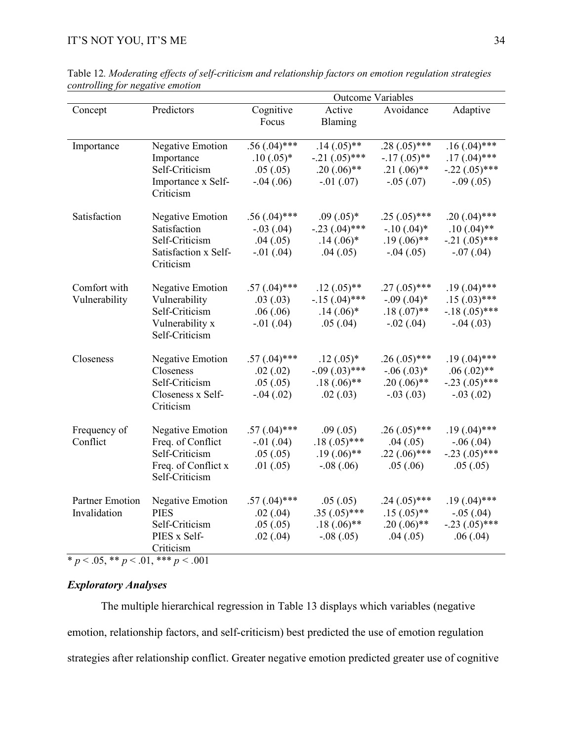|                        |                         | <b>Outcome Variables</b> |                 |                 |                      |  |
|------------------------|-------------------------|--------------------------|-----------------|-----------------|----------------------|--|
| Concept                | Predictors              | Cognitive                | Active          | Avoidance       | Adaptive             |  |
|                        |                         | Focus                    | Blaming         |                 |                      |  |
|                        |                         |                          |                 |                 |                      |  |
| Importance             | Negative Emotion        | $.56(.04)$ ***           | $.14(.05)$ **   | .28 $(.05)$ *** | $.16(.04)$ ***       |  |
|                        | Importance              | $.10(.05)*$              | $-.21(.05)$ *** | $-17(.05)$ **   | $.17(.04)$ ***       |  |
|                        | Self-Criticism          | .05(.05)                 | $.20(.06)$ **   | $.21(.06)$ **   | $-.22(.05)$ ***      |  |
|                        | Importance x Self-      | $-.04(.06)$              | $-.01(.07)$     | $-.05(.07)$     | $-.09(.05)$          |  |
|                        | Criticism               |                          |                 |                 |                      |  |
|                        |                         |                          |                 |                 |                      |  |
| Satisfaction           | Negative Emotion        | $.56(.04)$ ***           | $.09(.05)*$     | $.25(.05)$ ***  | $.20(.04)$ ***       |  |
|                        | Satisfaction            | $-.03(.04)$              | $-.23(.04)$ *** | $-.10(.04)*$    | $.10(.04)$ **        |  |
|                        | Self-Criticism          | .04(.05)                 | $.14(.06)$ *    | $.19(.06)$ **   | $-0.21$ $(0.05)$ *** |  |
|                        | Satisfaction x Self-    | $-.01(.04)$              | .04(.05)        | $-.04(.05)$     | $-.07(.04)$          |  |
|                        | Criticism               |                          |                 |                 |                      |  |
| Comfort with           | <b>Negative Emotion</b> | $.57(.04)$ ***           | $.12(.05)$ **   | $.27(.05)$ ***  | $.19(.04)$ ***       |  |
| Vulnerability          | Vulnerability           | .03(.03)                 | $-15(.04)$ ***  | $-.09(.04)*$    | $.15(.03)$ ***       |  |
|                        | Self-Criticism          | .06(.06)                 | $.14(.06)^*$    | $.18(.07)$ **   | $-18(.05)$ ***       |  |
|                        | Vulnerability x         | $-.01(.04)$              | .05(.04)        | $-.02(.04)$     | $-.04(.03)$          |  |
|                        | Self-Criticism          |                          |                 |                 |                      |  |
|                        |                         |                          |                 |                 |                      |  |
| Closeness              | Negative Emotion        | $.57(.04)$ ***           | $.12(.05)*$     | $.26(.05)$ ***  | $.19(.04)$ ***       |  |
|                        | Closeness               | .02(.02)                 | $-.09(.03)$ *** | $-0.06(0.03)*$  | $.06(.02)$ **        |  |
|                        | Self-Criticism          | .05(.05)                 | $.18(.06)$ **   | $.20(.06)$ **   | $-.23(.05)$ ***      |  |
|                        | Closeness x Self-       | $-.04(.02)$              | .02(0.03)       | $-.03(.03)$     | $-.03(.02)$          |  |
|                        | Criticism               |                          |                 |                 |                      |  |
|                        |                         |                          |                 |                 |                      |  |
| Frequency of           | <b>Negative Emotion</b> | $.57(.04)$ ***           | .09(0.05)       | $.26(.05)$ ***  | $.19(.04)$ ***       |  |
| Conflict               | Freq. of Conflict       | $-.01(.04)$              | $.18(.05)$ ***  | .04(.05)        | $-.06(.04)$          |  |
|                        | Self-Criticism          | .05(.05)                 | $.19(.06)$ **   | $.22(.06)$ ***  | $-.23(.05)$ ***      |  |
|                        | Freq. of Conflict x     | .01(.05)                 | $-.08(.06)$     | .05(.06)        | .05(.05)             |  |
|                        | Self-Criticism          |                          |                 |                 |                      |  |
| <b>Partner Emotion</b> |                         |                          |                 |                 |                      |  |
|                        | Negative Emotion        | $.57(.04)$ ***           | .05(.05)        | $.24(.05)$ ***  | $.19(.04)$ ***       |  |
| Invalidation           | <b>PIES</b>             | .02(.04)                 | $.35(.05)$ ***  | $.15(.05)$ **   | $-.05(.04)$          |  |
|                        | Self-Criticism          | .05(.05)                 | $.18(.06)$ **   | $.20(.06)$ **   | $-.23(.05)$ ***      |  |
|                        | PIES x Self-            | .02(.04)                 | $-.08(.05)$     | .04(.05)        | .06(.04)             |  |
|                        | Criticism               |                          |                 |                 |                      |  |

Table 12*. Moderating effects of self-criticism and relationship factors on emotion regulation strategies controlling for negative emotion*

\* *p* < .05, \*\* *p* < .01, \*\*\* *p < .*001

### *Exploratory Analyses*

The multiple hierarchical regression in Table 13 displays which variables (negative emotion, relationship factors, and self-criticism) best predicted the use of emotion regulation strategies after relationship conflict. Greater negative emotion predicted greater use of cognitive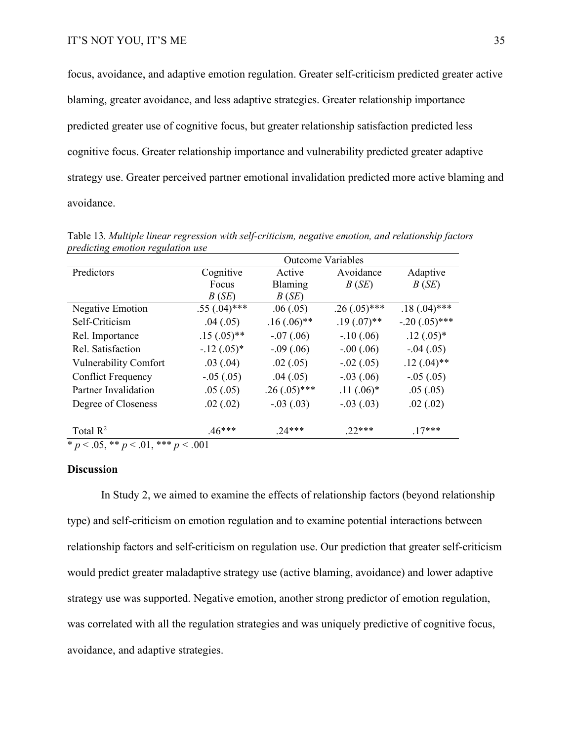focus, avoidance, and adaptive emotion regulation. Greater self-criticism predicted greater active blaming, greater avoidance, and less adaptive strategies. Greater relationship importance predicted greater use of cognitive focus, but greater relationship satisfaction predicted less cognitive focus. Greater relationship importance and vulnerability predicted greater adaptive strategy use. Greater perceived partner emotional invalidation predicted more active blaming and avoidance.

|                                                                        |                | <b>Outcome Variables</b> |                |                 |
|------------------------------------------------------------------------|----------------|--------------------------|----------------|-----------------|
| Predictors                                                             | Cognitive      | Active                   | Avoidance      | Adaptive        |
|                                                                        | Focus          | Blaming                  | B(SE)          | B(SE)           |
|                                                                        | B(SE)          | B(SE)                    |                |                 |
| <b>Negative Emotion</b>                                                | $.55(.04)$ *** | .06(.05)                 | $.26(.05)$ *** | $.18(.04)$ ***  |
| Self-Criticism                                                         | .04(.05)       | $.16(.06)$ **            | $.19(.07)$ **  | $-.20(.05)$ *** |
| Rel. Importance                                                        | $.15(.05)$ **  | $-.07(.06)$              | $-.10(.06)$    | $.12(.05)*$     |
| Rel. Satisfaction                                                      | $-12(.05)^*$   | $-.09(.06)$              | $-.00(.06)$    | $-.04(.05)$     |
| <b>Vulnerability Comfort</b>                                           | .03(0.04)      | .02(0.05)                | $-.02(.05)$    | $.12(.04)$ **   |
| <b>Conflict Frequency</b>                                              | $-.05(.05)$    | .04(.05)                 | $-.03(.06)$    | $-.05(.05)$     |
| Partner Invalidation                                                   | .05(.05)       | $.26(.05)$ ***           | $.11(.06)$ *   | .05(.05)        |
| Degree of Closeness                                                    | .02(.02)       | $-.03(.03)$              | $-.03(.03)$    | .02(.02)        |
| Total $R^2$<br>$*$ $\sqrt{05}$ $*$ $*$ $\sqrt{01}$ $*$ $*$ $\sqrt{01}$ | $.46***$       | $24***$                  | $22***$        | $17***$         |

Table 13*. Multiple linear regression with self-criticism, negative emotion, and relationship factors predicting emotion regulation use*

\* *p* < .05, \*\* *p* < .01, \*\*\* *p < .*001

#### **Discussion**

In Study 2, we aimed to examine the effects of relationship factors (beyond relationship type) and self-criticism on emotion regulation and to examine potential interactions between relationship factors and self-criticism on regulation use. Our prediction that greater self-criticism would predict greater maladaptive strategy use (active blaming, avoidance) and lower adaptive strategy use was supported. Negative emotion, another strong predictor of emotion regulation, was correlated with all the regulation strategies and was uniquely predictive of cognitive focus, avoidance, and adaptive strategies.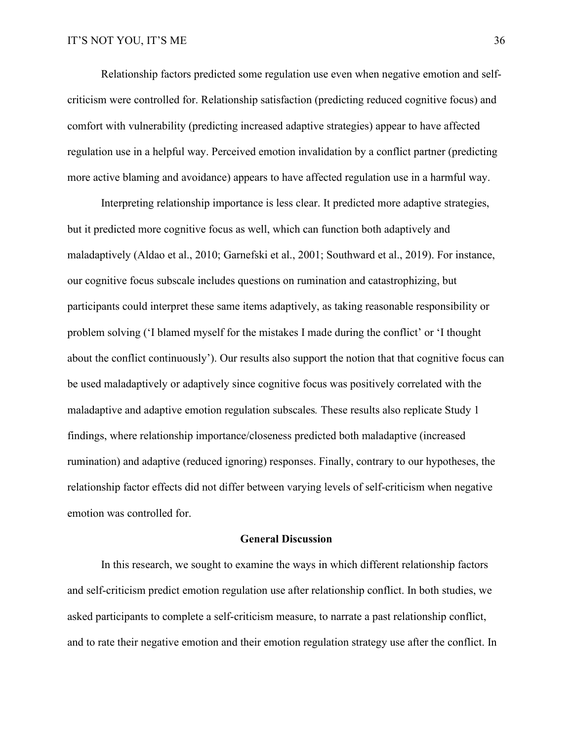Relationship factors predicted some regulation use even when negative emotion and selfcriticism were controlled for. Relationship satisfaction (predicting reduced cognitive focus) and comfort with vulnerability (predicting increased adaptive strategies) appear to have affected regulation use in a helpful way. Perceived emotion invalidation by a conflict partner (predicting more active blaming and avoidance) appears to have affected regulation use in a harmful way.

Interpreting relationship importance is less clear. It predicted more adaptive strategies, but it predicted more cognitive focus as well, which can function both adaptively and maladaptively (Aldao et al., 2010; Garnefski et al., 2001; Southward et al., 2019). For instance, our cognitive focus subscale includes questions on rumination and catastrophizing, but participants could interpret these same items adaptively, as taking reasonable responsibility or problem solving ('I blamed myself for the mistakes I made during the conflict' or 'I thought about the conflict continuously'). Our results also support the notion that that cognitive focus can be used maladaptively or adaptively since cognitive focus was positively correlated with the maladaptive and adaptive emotion regulation subscales*.* These results also replicate Study 1 findings, where relationship importance/closeness predicted both maladaptive (increased rumination) and adaptive (reduced ignoring) responses. Finally, contrary to our hypotheses, the relationship factor effects did not differ between varying levels of self-criticism when negative emotion was controlled for.

#### **General Discussion**

In this research, we sought to examine the ways in which different relationship factors and self-criticism predict emotion regulation use after relationship conflict. In both studies, we asked participants to complete a self-criticism measure, to narrate a past relationship conflict, and to rate their negative emotion and their emotion regulation strategy use after the conflict. In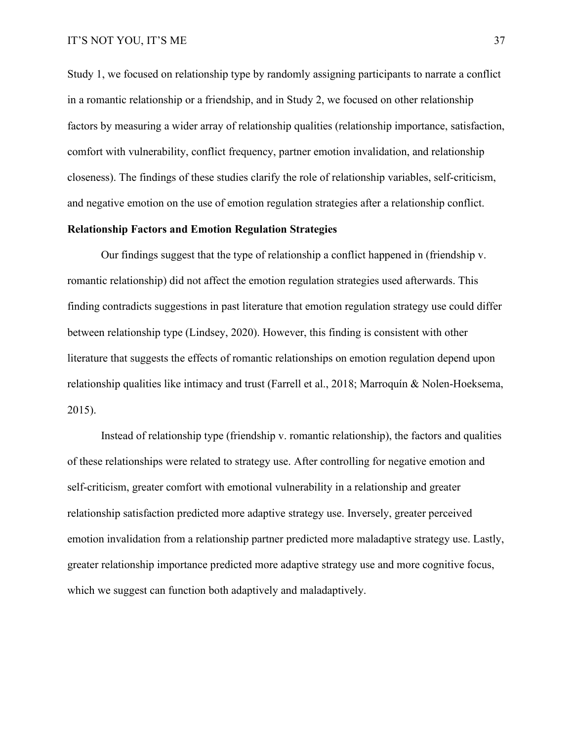Study 1, we focused on relationship type by randomly assigning participants to narrate a conflict in a romantic relationship or a friendship, and in Study 2, we focused on other relationship factors by measuring a wider array of relationship qualities (relationship importance, satisfaction, comfort with vulnerability, conflict frequency, partner emotion invalidation, and relationship closeness). The findings of these studies clarify the role of relationship variables, self-criticism, and negative emotion on the use of emotion regulation strategies after a relationship conflict.

#### **Relationship Factors and Emotion Regulation Strategies**

Our findings suggest that the type of relationship a conflict happened in (friendship v. romantic relationship) did not affect the emotion regulation strategies used afterwards. This finding contradicts suggestions in past literature that emotion regulation strategy use could differ between relationship type (Lindsey, 2020). However, this finding is consistent with other literature that suggests the effects of romantic relationships on emotion regulation depend upon relationship qualities like intimacy and trust (Farrell et al., 2018; Marroquín & Nolen-Hoeksema, 2015).

Instead of relationship type (friendship v. romantic relationship), the factors and qualities of these relationships were related to strategy use. After controlling for negative emotion and self-criticism, greater comfort with emotional vulnerability in a relationship and greater relationship satisfaction predicted more adaptive strategy use. Inversely, greater perceived emotion invalidation from a relationship partner predicted more maladaptive strategy use. Lastly, greater relationship importance predicted more adaptive strategy use and more cognitive focus, which we suggest can function both adaptively and maladaptively.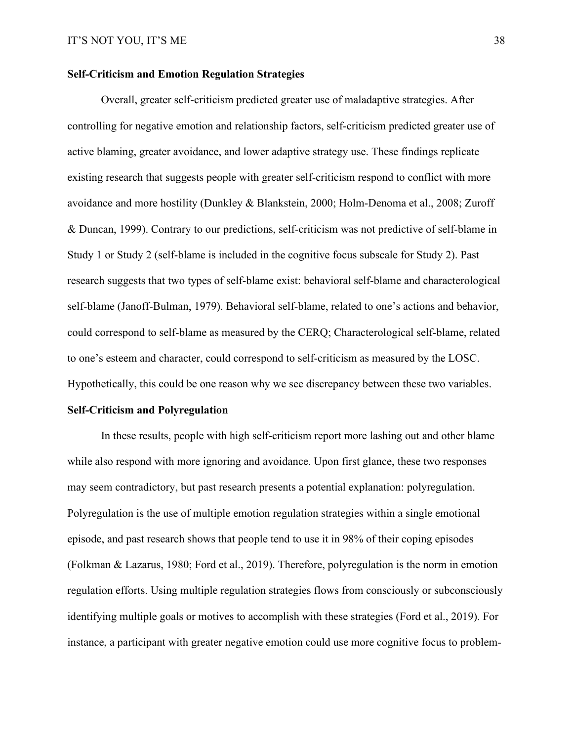#### **Self-Criticism and Emotion Regulation Strategies**

Overall, greater self-criticism predicted greater use of maladaptive strategies. After controlling for negative emotion and relationship factors, self-criticism predicted greater use of active blaming, greater avoidance, and lower adaptive strategy use. These findings replicate existing research that suggests people with greater self-criticism respond to conflict with more avoidance and more hostility (Dunkley & Blankstein, 2000; Holm-Denoma et al., 2008; Zuroff & Duncan, 1999). Contrary to our predictions, self-criticism was not predictive of self-blame in Study 1 or Study 2 (self-blame is included in the cognitive focus subscale for Study 2). Past research suggests that two types of self-blame exist: behavioral self-blame and characterological self-blame (Janoff-Bulman, 1979). Behavioral self-blame, related to one's actions and behavior, could correspond to self-blame as measured by the CERQ; Characterological self-blame, related to one's esteem and character, could correspond to self-criticism as measured by the LOSC. Hypothetically, this could be one reason why we see discrepancy between these two variables.

#### **Self-Criticism and Polyregulation**

In these results, people with high self-criticism report more lashing out and other blame while also respond with more ignoring and avoidance. Upon first glance, these two responses may seem contradictory, but past research presents a potential explanation: polyregulation. Polyregulation is the use of multiple emotion regulation strategies within a single emotional episode, and past research shows that people tend to use it in 98% of their coping episodes (Folkman & Lazarus, 1980; Ford et al., 2019). Therefore, polyregulation is the norm in emotion regulation efforts. Using multiple regulation strategies flows from consciously or subconsciously identifying multiple goals or motives to accomplish with these strategies (Ford et al., 2019). For instance, a participant with greater negative emotion could use more cognitive focus to problem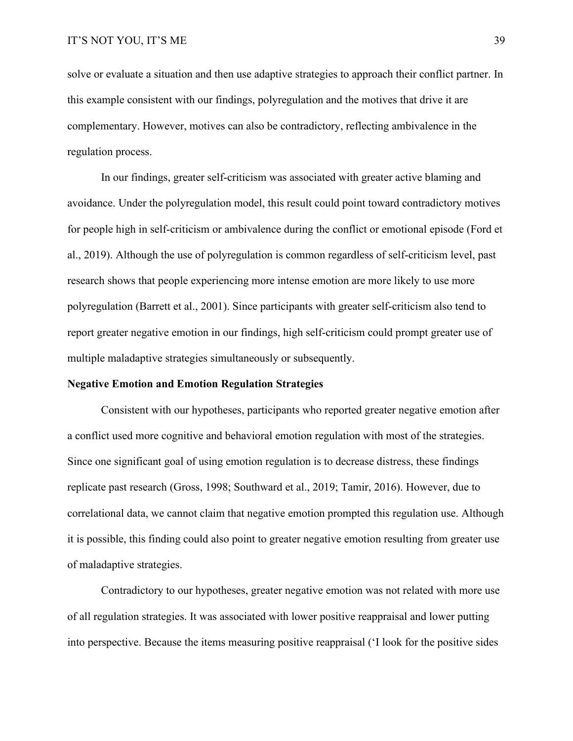solve or evaluate a situation and then use adaptive strategies to approach their conflict partner. In this example consistent with our findings, polyregulation and the motives that drive it are complementary. However, motives can also be contradictory, reflecting ambivalence in the regulation process.

In our findings, greater self-criticism was associated with greater active blaming and avoidance. Under the polyregulation model, this result could point toward contradictory motives for people high in self-criticism or ambivalence during the conflict or emotional episode (Ford et al., 2019). Although the use of polyregulation is common regardless of self-criticism level, past research shows that people experiencing more intense emotion are more likely to use more polyregulation (Barrett et al., 2001). Since participants with greater self-criticism also tend to report greater negative emotion in our findings, high self-criticism could prompt greater use of multiple maladaptive strategies simultaneously or subsequently.

#### **Negative Emotion and Emotion Regulation Strategies**

Consistent with our hypotheses, participants who reported greater negative emotion after a conflict used more cognitive and behavioral emotion regulation with most of the strategies. Since one significant goal of using emotion regulation is to decrease distress, these findings replicate past research (Gross, 1998; Southward et al., 2019; Tamir, 2016). However, due to correlational data, we cannot claim that negative emotion prompted this regulation use. Although it is possible, this finding could also point to greater negative emotion resulting from greater use of maladaptive strategies.

Contradictory to our hypotheses, greater negative emotion was not related with more use of all regulation strategies. It was associated with lower positive reappraisal and lower putting into perspective. Because the items measuring positive reappraisal ('I look for the positive sides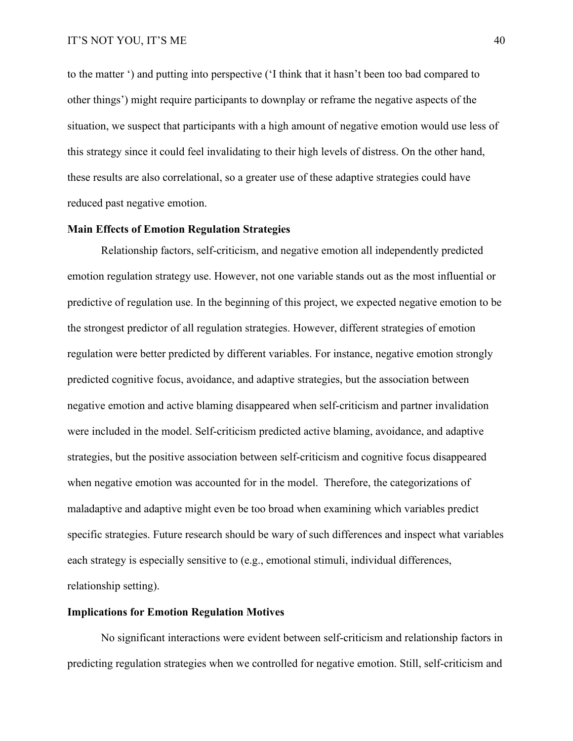to the matter ') and putting into perspective ('I think that it hasn't been too bad compared to other things') might require participants to downplay or reframe the negative aspects of the situation, we suspect that participants with a high amount of negative emotion would use less of this strategy since it could feel invalidating to their high levels of distress. On the other hand, these results are also correlational, so a greater use of these adaptive strategies could have reduced past negative emotion.

#### **Main Effects of Emotion Regulation Strategies**

Relationship factors, self-criticism, and negative emotion all independently predicted emotion regulation strategy use. However, not one variable stands out as the most influential or predictive of regulation use. In the beginning of this project, we expected negative emotion to be the strongest predictor of all regulation strategies. However, different strategies of emotion regulation were better predicted by different variables. For instance, negative emotion strongly predicted cognitive focus, avoidance, and adaptive strategies, but the association between negative emotion and active blaming disappeared when self-criticism and partner invalidation were included in the model. Self-criticism predicted active blaming, avoidance, and adaptive strategies, but the positive association between self-criticism and cognitive focus disappeared when negative emotion was accounted for in the model. Therefore, the categorizations of maladaptive and adaptive might even be too broad when examining which variables predict specific strategies. Future research should be wary of such differences and inspect what variables each strategy is especially sensitive to (e.g., emotional stimuli, individual differences, relationship setting).

#### **Implications for Emotion Regulation Motives**

No significant interactions were evident between self-criticism and relationship factors in predicting regulation strategies when we controlled for negative emotion. Still, self-criticism and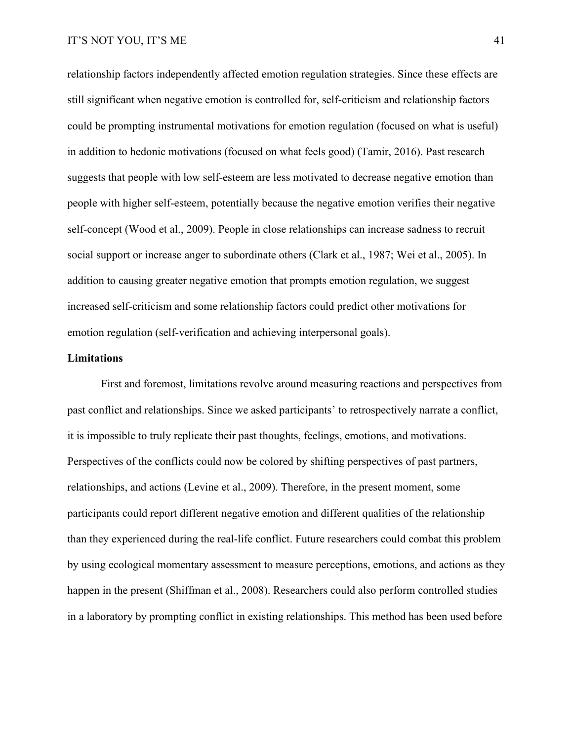relationship factors independently affected emotion regulation strategies. Since these effects are still significant when negative emotion is controlled for, self-criticism and relationship factors could be prompting instrumental motivations for emotion regulation (focused on what is useful) in addition to hedonic motivations (focused on what feels good) (Tamir, 2016). Past research suggests that people with low self-esteem are less motivated to decrease negative emotion than people with higher self-esteem, potentially because the negative emotion verifies their negative self-concept (Wood et al., 2009). People in close relationships can increase sadness to recruit social support or increase anger to subordinate others (Clark et al., 1987; Wei et al., 2005). In addition to causing greater negative emotion that prompts emotion regulation, we suggest increased self-criticism and some relationship factors could predict other motivations for emotion regulation (self-verification and achieving interpersonal goals).

#### **Limitations**

First and foremost, limitations revolve around measuring reactions and perspectives from past conflict and relationships. Since we asked participants' to retrospectively narrate a conflict, it is impossible to truly replicate their past thoughts, feelings, emotions, and motivations. Perspectives of the conflicts could now be colored by shifting perspectives of past partners, relationships, and actions (Levine et al., 2009). Therefore, in the present moment, some participants could report different negative emotion and different qualities of the relationship than they experienced during the real-life conflict. Future researchers could combat this problem by using ecological momentary assessment to measure perceptions, emotions, and actions as they happen in the present (Shiffman et al., 2008). Researchers could also perform controlled studies in a laboratory by prompting conflict in existing relationships. This method has been used before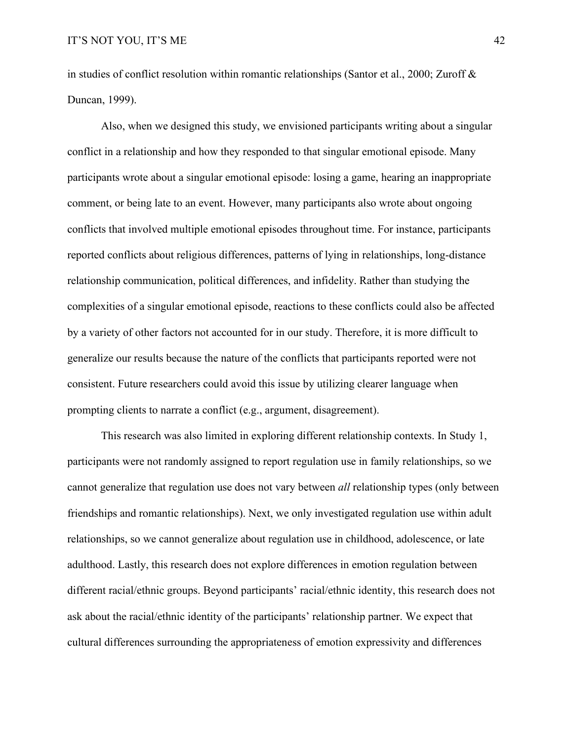in studies of conflict resolution within romantic relationships (Santor et al., 2000; Zuroff & Duncan, 1999).

Also, when we designed this study, we envisioned participants writing about a singular conflict in a relationship and how they responded to that singular emotional episode. Many participants wrote about a singular emotional episode: losing a game, hearing an inappropriate comment, or being late to an event. However, many participants also wrote about ongoing conflicts that involved multiple emotional episodes throughout time. For instance, participants reported conflicts about religious differences, patterns of lying in relationships, long-distance relationship communication, political differences, and infidelity. Rather than studying the complexities of a singular emotional episode, reactions to these conflicts could also be affected by a variety of other factors not accounted for in our study. Therefore, it is more difficult to generalize our results because the nature of the conflicts that participants reported were not consistent. Future researchers could avoid this issue by utilizing clearer language when prompting clients to narrate a conflict (e.g., argument, disagreement).

This research was also limited in exploring different relationship contexts. In Study 1, participants were not randomly assigned to report regulation use in family relationships, so we cannot generalize that regulation use does not vary between *all* relationship types (only between friendships and romantic relationships). Next, we only investigated regulation use within adult relationships, so we cannot generalize about regulation use in childhood, adolescence, or late adulthood. Lastly, this research does not explore differences in emotion regulation between different racial/ethnic groups. Beyond participants' racial/ethnic identity, this research does not ask about the racial/ethnic identity of the participants' relationship partner. We expect that cultural differences surrounding the appropriateness of emotion expressivity and differences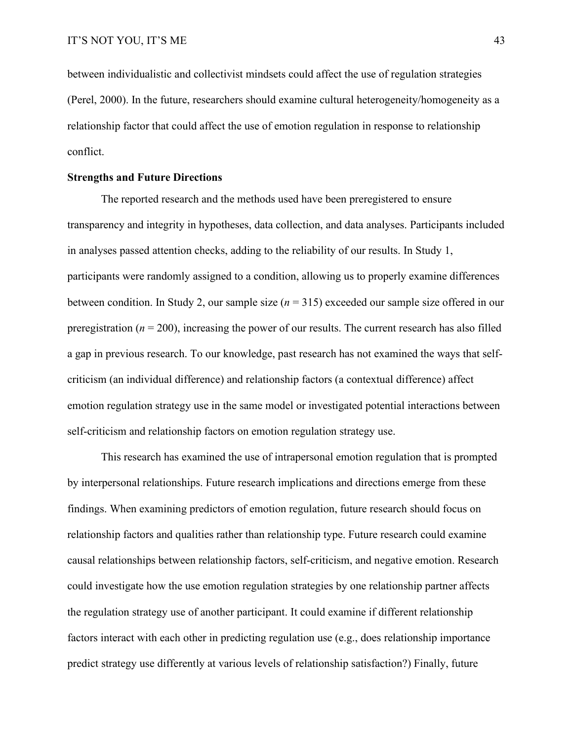between individualistic and collectivist mindsets could affect the use of regulation strategies (Perel, 2000). In the future, researchers should examine cultural heterogeneity/homogeneity as a relationship factor that could affect the use of emotion regulation in response to relationship conflict.

#### **Strengths and Future Directions**

The reported research and the methods used have been preregistered to ensure transparency and integrity in hypotheses, data collection, and data analyses. Participants included in analyses passed attention checks, adding to the reliability of our results. In Study 1, participants were randomly assigned to a condition, allowing us to properly examine differences between condition. In Study 2, our sample size (*n* = 315) exceeded our sample size offered in our preregistration  $(n = 200)$ , increasing the power of our results. The current research has also filled a gap in previous research. To our knowledge, past research has not examined the ways that selfcriticism (an individual difference) and relationship factors (a contextual difference) affect emotion regulation strategy use in the same model or investigated potential interactions between self-criticism and relationship factors on emotion regulation strategy use.

This research has examined the use of intrapersonal emotion regulation that is prompted by interpersonal relationships. Future research implications and directions emerge from these findings. When examining predictors of emotion regulation, future research should focus on relationship factors and qualities rather than relationship type. Future research could examine causal relationships between relationship factors, self-criticism, and negative emotion. Research could investigate how the use emotion regulation strategies by one relationship partner affects the regulation strategy use of another participant. It could examine if different relationship factors interact with each other in predicting regulation use (e.g., does relationship importance predict strategy use differently at various levels of relationship satisfaction?) Finally, future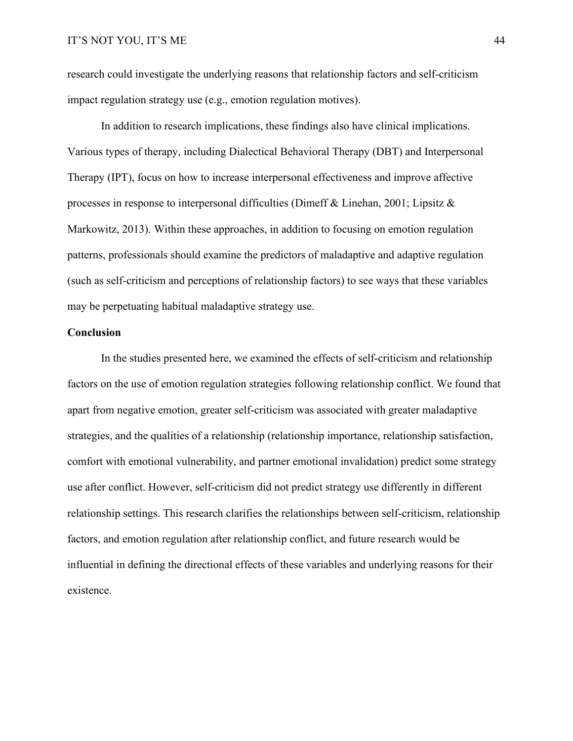research could investigate the underlying reasons that relationship factors and self-criticism impact regulation strategy use (e.g., emotion regulation motives).

In addition to research implications, these findings also have clinical implications. Various types of therapy, including Dialectical Behavioral Therapy (DBT) and Interpersonal Therapy (IPT), focus on how to increase interpersonal effectiveness and improve affective processes in response to interpersonal difficulties (Dimeff & Linehan, 2001; Lipsitz & Markowitz, 2013). Within these approaches, in addition to focusing on emotion regulation patterns, professionals should examine the predictors of maladaptive and adaptive regulation (such as self-criticism and perceptions of relationship factors) to see ways that these variables may be perpetuating habitual maladaptive strategy use.

#### **Conclusion**

In the studies presented here, we examined the effects of self-criticism and relationship factors on the use of emotion regulation strategies following relationship conflict. We found that apart from negative emotion, greater self-criticism was associated with greater maladaptive strategies, and the qualities of a relationship (relationship importance, relationship satisfaction, comfort with emotional vulnerability, and partner emotional invalidation) predict some strategy use after conflict. However, self-criticism did not predict strategy use differently in different relationship settings. This research clarifies the relationships between self-criticism, relationship factors, and emotion regulation after relationship conflict, and future research would be influential in defining the directional effects of these variables and underlying reasons for their existence.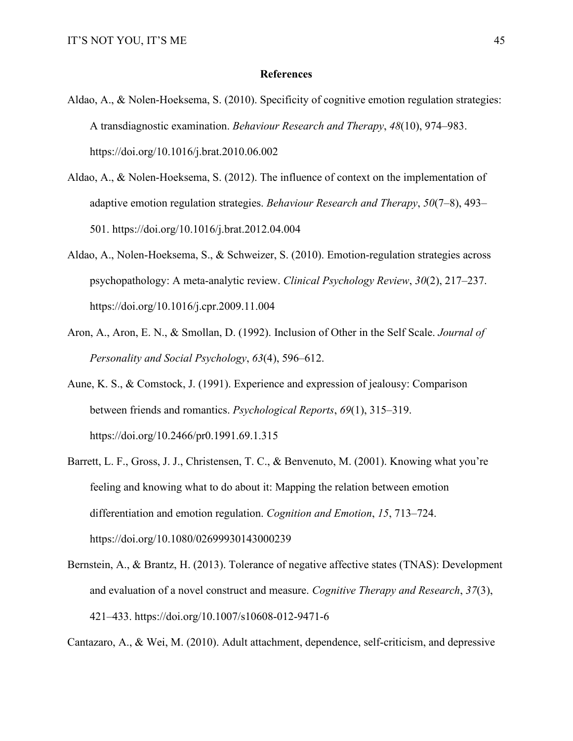#### **References**

- Aldao, A., & Nolen-Hoeksema, S. (2010). Specificity of cognitive emotion regulation strategies: A transdiagnostic examination. *Behaviour Research and Therapy*, *48*(10), 974–983. https://doi.org/10.1016/j.brat.2010.06.002
- Aldao, A., & Nolen-Hoeksema, S. (2012). The influence of context on the implementation of adaptive emotion regulation strategies. *Behaviour Research and Therapy*, *50*(7–8), 493– 501. https://doi.org/10.1016/j.brat.2012.04.004
- Aldao, A., Nolen-Hoeksema, S., & Schweizer, S. (2010). Emotion-regulation strategies across psychopathology: A meta-analytic review. *Clinical Psychology Review*, *30*(2), 217–237. https://doi.org/10.1016/j.cpr.2009.11.004
- Aron, A., Aron, E. N., & Smollan, D. (1992). Inclusion of Other in the Self Scale. *Journal of Personality and Social Psychology*, *63*(4), 596–612.
- Aune, K. S., & Comstock, J. (1991). Experience and expression of jealousy: Comparison between friends and romantics. *Psychological Reports*, *69*(1), 315–319. https://doi.org/10.2466/pr0.1991.69.1.315
- Barrett, L. F., Gross, J. J., Christensen, T. C., & Benvenuto, M. (2001). Knowing what you're feeling and knowing what to do about it: Mapping the relation between emotion differentiation and emotion regulation. *Cognition and Emotion*, *15*, 713–724. https://doi.org/10.1080/02699930143000239
- Bernstein, A., & Brantz, H. (2013). Tolerance of negative affective states (TNAS): Development and evaluation of a novel construct and measure. *Cognitive Therapy and Research*, *37*(3), 421–433. https://doi.org/10.1007/s10608-012-9471-6

Cantazaro, A., & Wei, M. (2010). Adult attachment, dependence, self-criticism, and depressive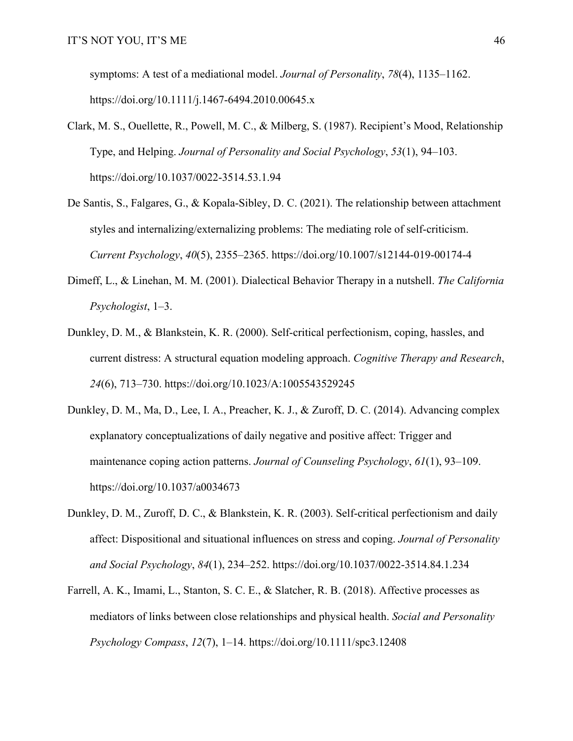symptoms: A test of a mediational model. *Journal of Personality*, *78*(4), 1135–1162. https://doi.org/10.1111/j.1467-6494.2010.00645.x

- Clark, M. S., Ouellette, R., Powell, M. C., & Milberg, S. (1987). Recipient's Mood, Relationship Type, and Helping. *Journal of Personality and Social Psychology*, *53*(1), 94–103. https://doi.org/10.1037/0022-3514.53.1.94
- De Santis, S., Falgares, G., & Kopala-Sibley, D. C. (2021). The relationship between attachment styles and internalizing/externalizing problems: The mediating role of self-criticism. *Current Psychology*, *40*(5), 2355–2365. https://doi.org/10.1007/s12144-019-00174-4
- Dimeff, L., & Linehan, M. M. (2001). Dialectical Behavior Therapy in a nutshell. *The California Psychologist*, 1–3.
- Dunkley, D. M., & Blankstein, K. R. (2000). Self-critical perfectionism, coping, hassles, and current distress: A structural equation modeling approach. *Cognitive Therapy and Research*, *24*(6), 713–730. https://doi.org/10.1023/A:1005543529245
- Dunkley, D. M., Ma, D., Lee, I. A., Preacher, K. J., & Zuroff, D. C. (2014). Advancing complex explanatory conceptualizations of daily negative and positive affect: Trigger and maintenance coping action patterns. *Journal of Counseling Psychology*, *61*(1), 93–109. https://doi.org/10.1037/a0034673
- Dunkley, D. M., Zuroff, D. C., & Blankstein, K. R. (2003). Self-critical perfectionism and daily affect: Dispositional and situational influences on stress and coping. *Journal of Personality and Social Psychology*, *84*(1), 234–252. https://doi.org/10.1037/0022-3514.84.1.234
- Farrell, A. K., Imami, L., Stanton, S. C. E., & Slatcher, R. B. (2018). Affective processes as mediators of links between close relationships and physical health. *Social and Personality Psychology Compass*, *12*(7), 1–14. https://doi.org/10.1111/spc3.12408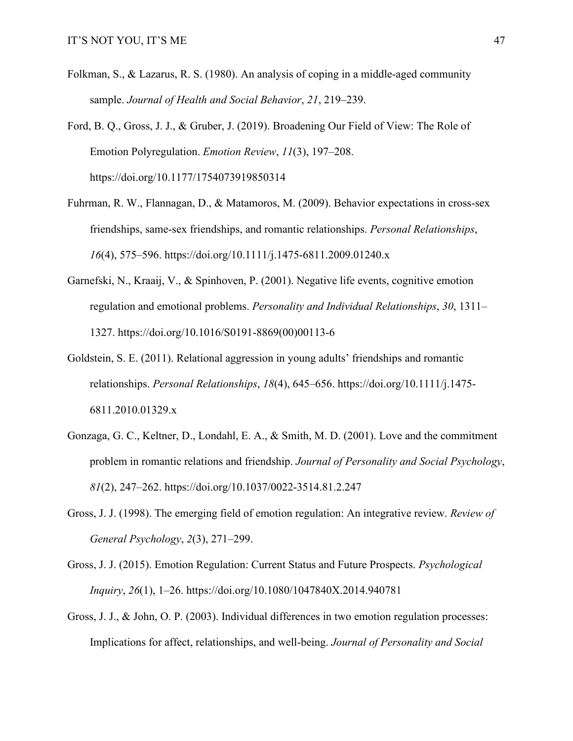- Folkman, S., & Lazarus, R. S. (1980). An analysis of coping in a middle-aged community sample. *Journal of Health and Social Behavior*, *21*, 219–239.
- Ford, B. Q., Gross, J. J., & Gruber, J. (2019). Broadening Our Field of View: The Role of Emotion Polyregulation. *Emotion Review*, *11*(3), 197–208. https://doi.org/10.1177/1754073919850314
- Fuhrman, R. W., Flannagan, D., & Matamoros, M. (2009). Behavior expectations in cross-sex friendships, same-sex friendships, and romantic relationships. *Personal Relationships*, *16*(4), 575–596. https://doi.org/10.1111/j.1475-6811.2009.01240.x
- Garnefski, N., Kraaij, V., & Spinhoven, P. (2001). Negative life events, cognitive emotion regulation and emotional problems. *Personality and Individual Relationships*, *30*, 1311– 1327. https://doi.org/10.1016/S0191-8869(00)00113-6
- Goldstein, S. E. (2011). Relational aggression in young adults' friendships and romantic relationships. *Personal Relationships*, *18*(4), 645–656. https://doi.org/10.1111/j.1475- 6811.2010.01329.x
- Gonzaga, G. C., Keltner, D., Londahl, E. A., & Smith, M. D. (2001). Love and the commitment problem in romantic relations and friendship. *Journal of Personality and Social Psychology*, *81*(2), 247–262. https://doi.org/10.1037/0022-3514.81.2.247
- Gross, J. J. (1998). The emerging field of emotion regulation: An integrative review. *Review of General Psychology*, *2*(3), 271–299.
- Gross, J. J. (2015). Emotion Regulation: Current Status and Future Prospects. *Psychological Inquiry*, *26*(1), 1–26. https://doi.org/10.1080/1047840X.2014.940781
- Gross, J. J., & John, O. P. (2003). Individual differences in two emotion regulation processes: Implications for affect, relationships, and well-being. *Journal of Personality and Social*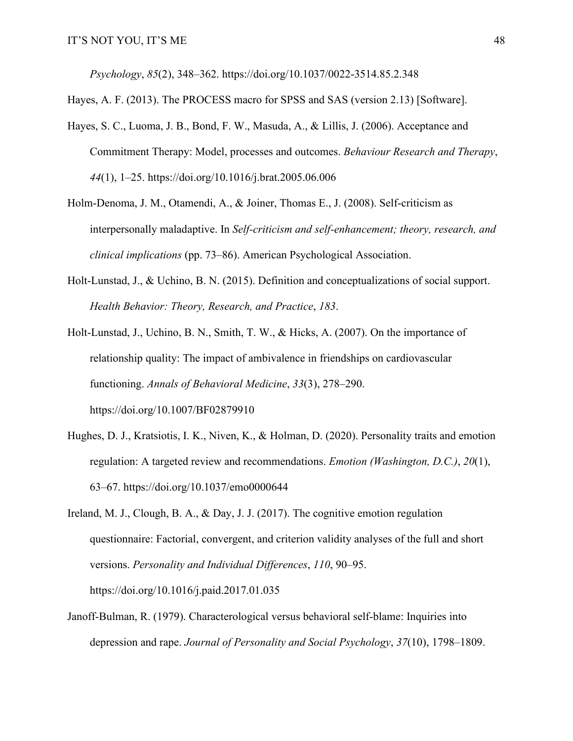*Psychology*, *85*(2), 348–362. https://doi.org/10.1037/0022-3514.85.2.348

Hayes, A. F. (2013). The PROCESS macro for SPSS and SAS (version 2.13) [Software].

- Hayes, S. C., Luoma, J. B., Bond, F. W., Masuda, A., & Lillis, J. (2006). Acceptance and Commitment Therapy: Model, processes and outcomes. *Behaviour Research and Therapy*, *44*(1), 1–25. https://doi.org/10.1016/j.brat.2005.06.006
- Holm-Denoma, J. M., Otamendi, A., & Joiner, Thomas E., J. (2008). Self-criticism as interpersonally maladaptive. In *Self-criticism and self-enhancement; theory, research, and clinical implications* (pp. 73–86). American Psychological Association.
- Holt-Lunstad, J., & Uchino, B. N. (2015). Definition and conceptualizations of social support. *Health Behavior: Theory, Research, and Practice*, *183*.
- Holt-Lunstad, J., Uchino, B. N., Smith, T. W., & Hicks, A. (2007). On the importance of relationship quality: The impact of ambivalence in friendships on cardiovascular functioning. *Annals of Behavioral Medicine*, *33*(3), 278–290. https://doi.org/10.1007/BF02879910
- Hughes, D. J., Kratsiotis, I. K., Niven, K., & Holman, D. (2020). Personality traits and emotion regulation: A targeted review and recommendations. *Emotion (Washington, D.C.)*, *20*(1), 63–67. https://doi.org/10.1037/emo0000644
- Ireland, M. J., Clough, B. A., & Day, J. J. (2017). The cognitive emotion regulation questionnaire: Factorial, convergent, and criterion validity analyses of the full and short versions. *Personality and Individual Differences*, *110*, 90–95. https://doi.org/10.1016/j.paid.2017.01.035
- Janoff-Bulman, R. (1979). Characterological versus behavioral self-blame: Inquiries into depression and rape. *Journal of Personality and Social Psychology*, *37*(10), 1798–1809.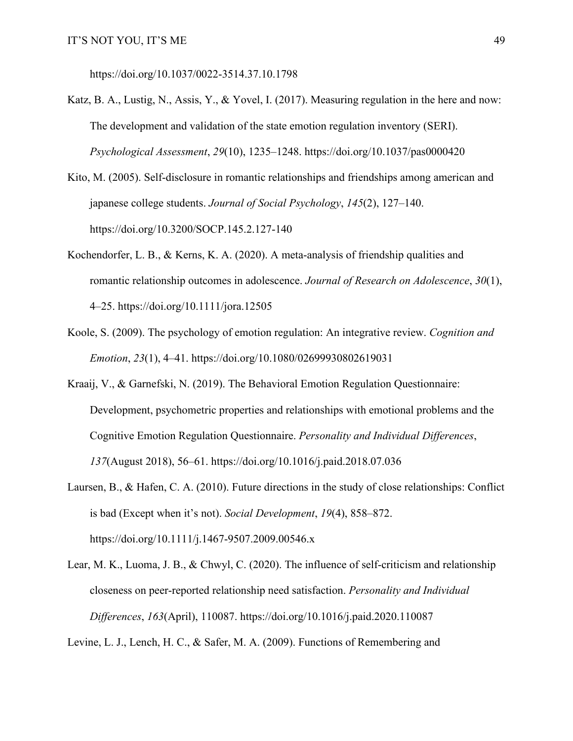https://doi.org/10.1037/0022-3514.37.10.1798

- Katz, B. A., Lustig, N., Assis, Y., & Yovel, I. (2017). Measuring regulation in the here and now: The development and validation of the state emotion regulation inventory (SERI). *Psychological Assessment*, *29*(10), 1235–1248. https://doi.org/10.1037/pas0000420
- Kito, M. (2005). Self-disclosure in romantic relationships and friendships among american and japanese college students. *Journal of Social Psychology*, *145*(2), 127–140. https://doi.org/10.3200/SOCP.145.2.127-140
- Kochendorfer, L. B., & Kerns, K. A. (2020). A meta-analysis of friendship qualities and romantic relationship outcomes in adolescence. *Journal of Research on Adolescence*, *30*(1), 4–25. https://doi.org/10.1111/jora.12505
- Koole, S. (2009). The psychology of emotion regulation: An integrative review. *Cognition and Emotion*, *23*(1), 4–41. https://doi.org/10.1080/02699930802619031
- Kraaij, V., & Garnefski, N. (2019). The Behavioral Emotion Regulation Questionnaire: Development, psychometric properties and relationships with emotional problems and the Cognitive Emotion Regulation Questionnaire. *Personality and Individual Differences*, *137*(August 2018), 56–61. https://doi.org/10.1016/j.paid.2018.07.036
- Laursen, B., & Hafen, C. A. (2010). Future directions in the study of close relationships: Conflict is bad (Except when it's not). *Social Development*, *19*(4), 858–872. https://doi.org/10.1111/j.1467-9507.2009.00546.x
- Lear, M. K., Luoma, J. B., & Chwyl, C. (2020). The influence of self-criticism and relationship closeness on peer-reported relationship need satisfaction. *Personality and Individual Differences*, *163*(April), 110087. https://doi.org/10.1016/j.paid.2020.110087

Levine, L. J., Lench, H. C., & Safer, M. A. (2009). Functions of Remembering and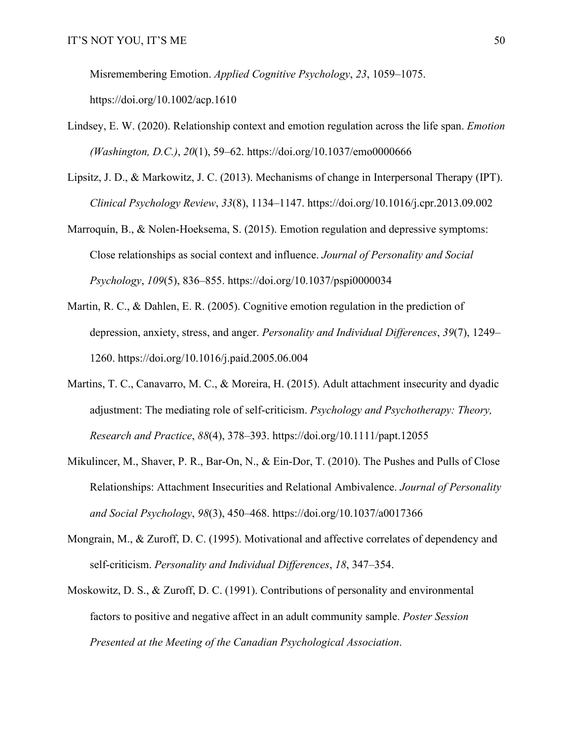Misremembering Emotion. *Applied Cognitive Psychology*, *23*, 1059–1075.

https://doi.org/10.1002/acp.1610

- Lindsey, E. W. (2020). Relationship context and emotion regulation across the life span. *Emotion (Washington, D.C.)*, *20*(1), 59–62. https://doi.org/10.1037/emo0000666
- Lipsitz, J. D., & Markowitz, J. C. (2013). Mechanisms of change in Interpersonal Therapy (IPT). *Clinical Psychology Review*, *33*(8), 1134–1147. https://doi.org/10.1016/j.cpr.2013.09.002
- Marroquín, B., & Nolen-Hoeksema, S. (2015). Emotion regulation and depressive symptoms: Close relationships as social context and influence. *Journal of Personality and Social Psychology*, *109*(5), 836–855. https://doi.org/10.1037/pspi0000034
- Martin, R. C., & Dahlen, E. R. (2005). Cognitive emotion regulation in the prediction of depression, anxiety, stress, and anger. *Personality and Individual Differences*, *39*(7), 1249– 1260. https://doi.org/10.1016/j.paid.2005.06.004
- Martins, T. C., Canavarro, M. C., & Moreira, H. (2015). Adult attachment insecurity and dyadic adjustment: The mediating role of self-criticism. *Psychology and Psychotherapy: Theory, Research and Practice*, *88*(4), 378–393. https://doi.org/10.1111/papt.12055
- Mikulincer, M., Shaver, P. R., Bar-On, N., & Ein-Dor, T. (2010). The Pushes and Pulls of Close Relationships: Attachment Insecurities and Relational Ambivalence. *Journal of Personality and Social Psychology*, *98*(3), 450–468. https://doi.org/10.1037/a0017366
- Mongrain, M., & Zuroff, D. C. (1995). Motivational and affective correlates of dependency and self-criticism. *Personality and Individual Differences*, *18*, 347–354.
- Moskowitz, D. S., & Zuroff, D. C. (1991). Contributions of personality and environmental factors to positive and negative affect in an adult community sample. *Poster Session Presented at the Meeting of the Canadian Psychological Association*.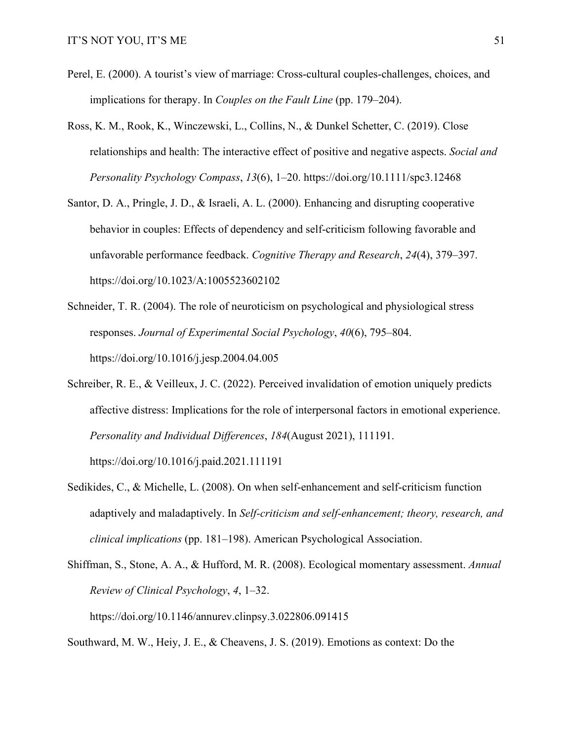- Perel, E. (2000). A tourist's view of marriage: Cross-cultural couples-challenges, choices, and implications for therapy. In *Couples on the Fault Line* (pp. 179–204).
- Ross, K. M., Rook, K., Winczewski, L., Collins, N., & Dunkel Schetter, C. (2019). Close relationships and health: The interactive effect of positive and negative aspects. *Social and Personality Psychology Compass*, *13*(6), 1–20. https://doi.org/10.1111/spc3.12468
- Santor, D. A., Pringle, J. D., & Israeli, A. L. (2000). Enhancing and disrupting cooperative behavior in couples: Effects of dependency and self-criticism following favorable and unfavorable performance feedback. *Cognitive Therapy and Research*, *24*(4), 379–397. https://doi.org/10.1023/A:1005523602102
- Schneider, T. R. (2004). The role of neuroticism on psychological and physiological stress responses. *Journal of Experimental Social Psychology*, *40*(6), 795–804. https://doi.org/10.1016/j.jesp.2004.04.005
- Schreiber, R. E., & Veilleux, J. C. (2022). Perceived invalidation of emotion uniquely predicts affective distress: Implications for the role of interpersonal factors in emotional experience. *Personality and Individual Differences*, *184*(August 2021), 111191. https://doi.org/10.1016/j.paid.2021.111191
- Sedikides, C., & Michelle, L. (2008). On when self-enhancement and self-criticism function adaptively and maladaptively. In *Self-criticism and self-enhancement; theory, research, and clinical implications* (pp. 181–198). American Psychological Association.
- Shiffman, S., Stone, A. A., & Hufford, M. R. (2008). Ecological momentary assessment. *Annual Review of Clinical Psychology*, *4*, 1–32. https://doi.org/10.1146/annurev.clinpsy.3.022806.091415

Southward, M. W., Heiy, J. E., & Cheavens, J. S. (2019). Emotions as context: Do the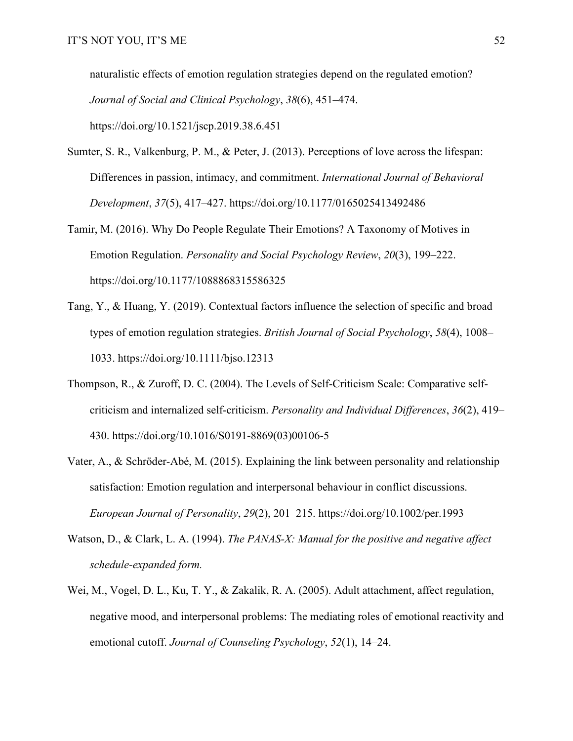naturalistic effects of emotion regulation strategies depend on the regulated emotion? *Journal of Social and Clinical Psychology*, *38*(6), 451–474. https://doi.org/10.1521/jscp.2019.38.6.451

- Sumter, S. R., Valkenburg, P. M., & Peter, J. (2013). Perceptions of love across the lifespan: Differences in passion, intimacy, and commitment. *International Journal of Behavioral Development*, *37*(5), 417–427. https://doi.org/10.1177/0165025413492486
- Tamir, M. (2016). Why Do People Regulate Their Emotions? A Taxonomy of Motives in Emotion Regulation. *Personality and Social Psychology Review*, *20*(3), 199–222. https://doi.org/10.1177/1088868315586325
- Tang, Y., & Huang, Y. (2019). Contextual factors influence the selection of specific and broad types of emotion regulation strategies. *British Journal of Social Psychology*, *58*(4), 1008– 1033. https://doi.org/10.1111/bjso.12313
- Thompson, R., & Zuroff, D. C. (2004). The Levels of Self-Criticism Scale: Comparative selfcriticism and internalized self-criticism. *Personality and Individual Differences*, *36*(2), 419– 430. https://doi.org/10.1016/S0191-8869(03)00106-5
- Vater, A., & Schröder-Abé, M. (2015). Explaining the link between personality and relationship satisfaction: Emotion regulation and interpersonal behaviour in conflict discussions. *European Journal of Personality*, *29*(2), 201–215. https://doi.org/10.1002/per.1993
- Watson, D., & Clark, L. A. (1994). *The PANAS-X: Manual for the positive and negative affect schedule-expanded form.*
- Wei, M., Vogel, D. L., Ku, T. Y., & Zakalik, R. A. (2005). Adult attachment, affect regulation, negative mood, and interpersonal problems: The mediating roles of emotional reactivity and emotional cutoff. *Journal of Counseling Psychology*, *52*(1), 14–24.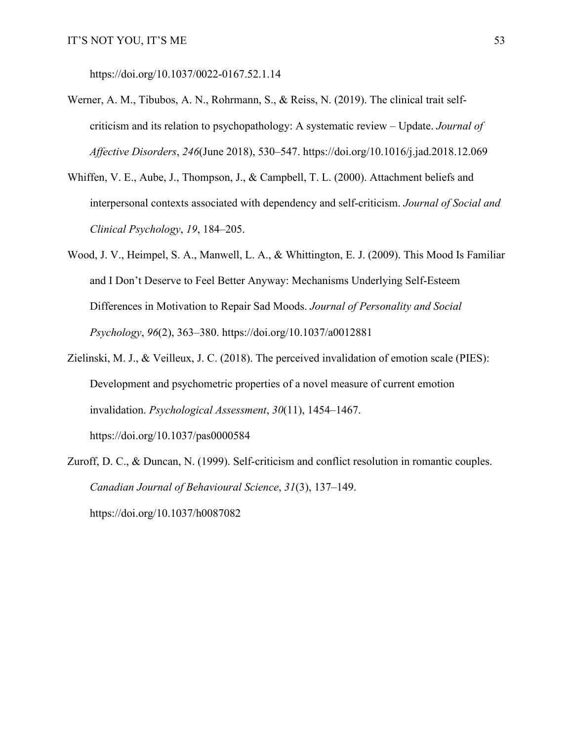https://doi.org/10.1037/0022-0167.52.1.14

- Werner, A. M., Tibubos, A. N., Rohrmann, S., & Reiss, N. (2019). The clinical trait selfcriticism and its relation to psychopathology: A systematic review – Update. *Journal of Affective Disorders*, *246*(June 2018), 530–547. https://doi.org/10.1016/j.jad.2018.12.069
- Whiffen, V. E., Aube, J., Thompson, J., & Campbell, T. L. (2000). Attachment beliefs and interpersonal contexts associated with dependency and self-criticism. *Journal of Social and Clinical Psychology*, *19*, 184–205.
- Wood, J. V., Heimpel, S. A., Manwell, L. A., & Whittington, E. J. (2009). This Mood Is Familiar and I Don't Deserve to Feel Better Anyway: Mechanisms Underlying Self-Esteem Differences in Motivation to Repair Sad Moods. *Journal of Personality and Social Psychology*, *96*(2), 363–380. https://doi.org/10.1037/a0012881
- Zielinski, M. J., & Veilleux, J. C. (2018). The perceived invalidation of emotion scale (PIES): Development and psychometric properties of a novel measure of current emotion invalidation. *Psychological Assessment*, *30*(11), 1454–1467. https://doi.org/10.1037/pas0000584
- Zuroff, D. C., & Duncan, N. (1999). Self-criticism and conflict resolution in romantic couples. *Canadian Journal of Behavioural Science*, *31*(3), 137–149. https://doi.org/10.1037/h0087082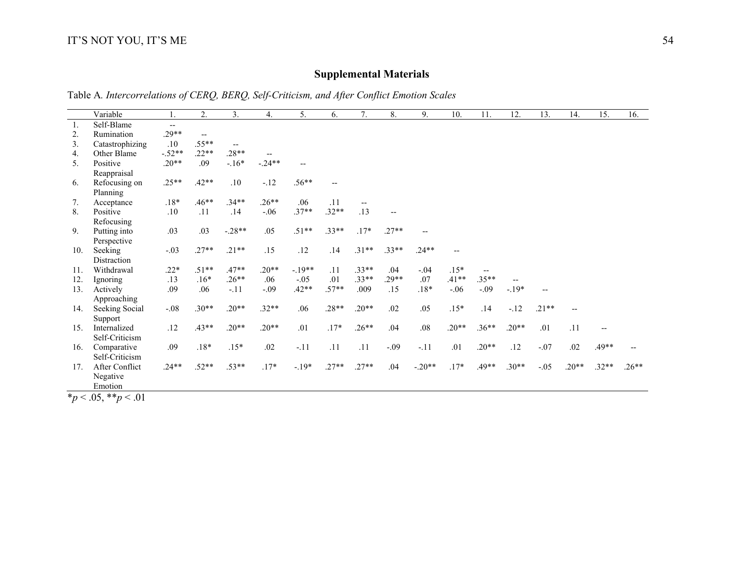## **Supplemental Materials**

Table A*. Intercorrelations of CERQ, BERQ, Self-Criticism, and After Conflict Emotion Scales*

|                  | Variable        |          | 2.      | 3.       | 4.       | 5.       | 6.                       | 7.                       | 8.      | 9.       | 10.     | 11.     | 12.     | 13.                      | 14.     | 15.     | 16.     |
|------------------|-----------------|----------|---------|----------|----------|----------|--------------------------|--------------------------|---------|----------|---------|---------|---------|--------------------------|---------|---------|---------|
| $\overline{1}$ . | Self-Blame      | $- -$    |         |          |          |          |                          |                          |         |          |         |         |         |                          |         |         |         |
| 2.               | Rumination      | $.29**$  | $-$     |          |          |          |                          |                          |         |          |         |         |         |                          |         |         |         |
| 3.               | Catastrophizing | $.10\,$  | $.55**$ | --       |          |          |                          |                          |         |          |         |         |         |                          |         |         |         |
| 4.               | Other Blame     | $-.52**$ | $.22**$ | $.28**$  |          |          |                          |                          |         |          |         |         |         |                          |         |         |         |
| 5.               | Positive        | $.20**$  | .09     | $-.16*$  | $-.24**$ | $-$      |                          |                          |         |          |         |         |         |                          |         |         |         |
|                  | Reappraisal     |          |         |          |          |          |                          |                          |         |          |         |         |         |                          |         |         |         |
| 6.               | Refocusing on   | $.25**$  | $.42**$ | .10      | $-.12$   | $.56**$  | $\overline{\phantom{m}}$ |                          |         |          |         |         |         |                          |         |         |         |
|                  | Planning        |          |         |          |          |          |                          |                          |         |          |         |         |         |                          |         |         |         |
| 7.               | Acceptance      | $.18*$   | $.46**$ | $.34**$  | $.26**$  | .06      | .11                      | $\overline{\phantom{a}}$ |         |          |         |         |         |                          |         |         |         |
| 8.               | Positive        | .10      | .11     | .14      | $-.06$   | $.37**$  | $.32**$                  | .13                      |         |          |         |         |         |                          |         |         |         |
|                  | Refocusing      |          |         |          |          |          |                          |                          |         |          |         |         |         |                          |         |         |         |
| 9.               | Putting into    | .03      | .03     | $-.28**$ | .05      | $.51**$  | $.33**$                  | $.17*$                   | $.27**$ |          |         |         |         |                          |         |         |         |
|                  | Perspective     |          |         |          |          |          |                          |                          |         |          |         |         |         |                          |         |         |         |
| 10.              | Seeking         | $-.03$   | $.27**$ | $.21**$  | .15      | .12      | .14                      | $.31**$                  | $.33**$ | $.24**$  |         |         |         |                          |         |         |         |
|                  | Distraction     |          |         |          |          |          |                          |                          |         |          |         |         |         |                          |         |         |         |
| 11.              | Withdrawal      | $.22*$   | $.51**$ | $.47**$  | $.20**$  | $-.19**$ | .11                      | $.33**$                  | .04     | $-.04$   | $.15*$  |         |         |                          |         |         |         |
| 12.              | Ignoring        | .13      | $.16*$  | $.26**$  | .06      | $-.05$   | .01                      | $.33**$                  | $.29**$ | .07      | $.41**$ | $.35**$ | $-$     |                          |         |         |         |
| 13.              | Actively        | .09      | .06     | $-.11$   | $-.09$   | $.42**$  | $.57**$                  | .009                     | .15     | $.18*$   | $-.06$  | $-.09$  | $-.19*$ | $\overline{\phantom{a}}$ |         |         |         |
|                  | Approaching     |          |         |          |          |          |                          |                          |         |          |         |         |         |                          |         |         |         |
| 14.              | Seeking Social  | $-.08$   | $.30**$ | $.20**$  | $.32**$  | .06      | $.28**$                  | $.20**$                  | .02     | .05      | $.15*$  | .14     | $-.12$  | $.21**$                  |         |         |         |
|                  | Support         |          |         |          |          |          |                          |                          |         |          |         |         |         |                          |         |         |         |
| 15.              | Internalized    | .12      | $.43**$ | $.20**$  | $.20**$  | .01      | $.17*$                   | $.26**$                  | .04     | .08      | $.20**$ | $.36**$ | $.20**$ | .01                      | .11     | $-$     |         |
|                  | Self-Criticism  |          |         |          |          |          |                          |                          |         |          |         |         |         |                          |         |         |         |
| 16.              | Comparative     | .09      | $.18*$  | $.15*$   | .02      | $-.11$   | .11                      | .11                      | $-.09$  | $-.11$   | .01     | $.20**$ | .12     | $-.07$                   | .02     | .49**   |         |
|                  | Self-Criticism  |          |         |          |          |          |                          |                          |         |          |         |         |         |                          |         |         |         |
| 17.              | After Conflict  | $.24**$  | $.52**$ | $.53**$  | $.17*$   | $-.19*$  | $.27**$                  | $.27**$                  | .04     | $-.20**$ | $.17*$  | $.49**$ | $.30**$ | $-.05$                   | $.20**$ | $.32**$ | $.26**$ |
|                  | Negative        |          |         |          |          |          |                          |                          |         |          |         |         |         |                          |         |         |         |
|                  | Emotion         |          |         |          |          |          |                          |                          |         |          |         |         |         |                          |         |         |         |

\**p* < .05, \*\**p* < .01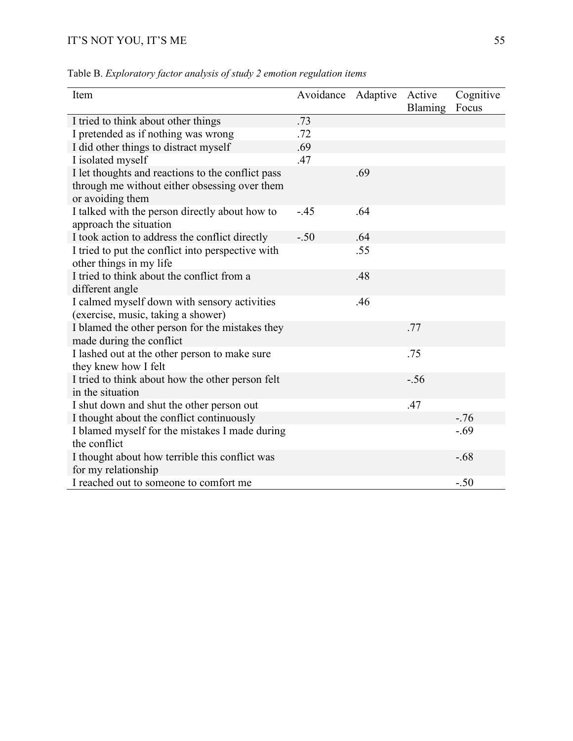| Item                                                                        | Avoidance | Adaptive | Active<br>Blaming | Cognitive<br>Focus |
|-----------------------------------------------------------------------------|-----------|----------|-------------------|--------------------|
| I tried to think about other things                                         | .73       |          |                   |                    |
| I pretended as if nothing was wrong                                         | .72       |          |                   |                    |
| I did other things to distract myself                                       | .69       |          |                   |                    |
| I isolated myself                                                           | .47       |          |                   |                    |
| I let thoughts and reactions to the conflict pass                           |           | .69      |                   |                    |
| through me without either obsessing over them<br>or avoiding them           |           |          |                   |                    |
| I talked with the person directly about how to                              | $-.45$    | .64      |                   |                    |
| approach the situation                                                      |           |          |                   |                    |
| I took action to address the conflict directly                              | $-.50$    | .64      |                   |                    |
| I tried to put the conflict into perspective with                           |           | .55      |                   |                    |
| other things in my life                                                     |           |          |                   |                    |
| I tried to think about the conflict from a                                  |           | .48      |                   |                    |
| different angle                                                             |           |          |                   |                    |
| I calmed myself down with sensory activities                                |           | .46      |                   |                    |
| (exercise, music, taking a shower)                                          |           |          |                   |                    |
| I blamed the other person for the mistakes they<br>made during the conflict |           |          | .77               |                    |
| I lashed out at the other person to make sure                               |           |          | .75               |                    |
| they knew how I felt                                                        |           |          |                   |                    |
| I tried to think about how the other person felt                            |           |          | $-.56$            |                    |
| in the situation                                                            |           |          |                   |                    |
| I shut down and shut the other person out                                   |           |          | .47               |                    |
| I thought about the conflict continuously                                   |           |          |                   | $-.76$             |
| I blamed myself for the mistakes I made during<br>the conflict              |           |          |                   | $-.69$             |
| I thought about how terrible this conflict was<br>for my relationship       |           |          |                   | $-.68$             |
| I reached out to someone to comfort me                                      |           |          |                   | $-.50$             |

Table B. *Exploratory factor analysis of study 2 emotion regulation items*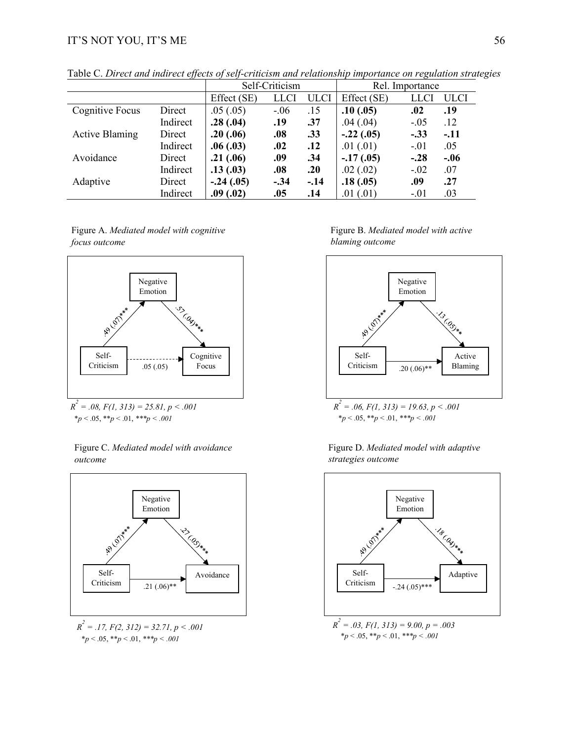|                       |          |             | Self-Criticism |             |             | Rel. Importance |             |
|-----------------------|----------|-------------|----------------|-------------|-------------|-----------------|-------------|
|                       |          | Effect (SE) | <b>LLCI</b>    | <b>ULCI</b> | Effect (SE) | LLCI            | <b>ULCI</b> |
| Cognitive Focus       | Direct   | .05(.05)    | $-.06$         | .15         | .10(.05)    | .02             | .19         |
|                       | Indirect | .28(.04)    | .19            | .37         | .04(.04)    | $-.05$          | .12         |
| <b>Active Blaming</b> | Direct   | .20(.06)    | .08            | .33         | $-.22(.05)$ | $-.33$          | $-.11$      |
|                       | Indirect | .06(.03)    | .02            | .12         | .01(.01)    | $-.01$          | .05         |
| Avoidance             | Direct   | .21(.06)    | .09            | .34         | $-17(0.05)$ | $-.28$          | $-.06$      |
|                       | Indirect | .13(.03)    | .08            | .20         | .02(.02)    | $-.02$          | .07         |
| Adaptive              | Direct   | $-.24(.05)$ | $-.34$         | $-.14$      | .18(.05)    | .09             | .27         |
|                       | Indirect | .09(.02)    | .05            | .14         | .01(.01)    | $-.01$          | .03         |

Table C. *Direct and indirect effects of self-criticism and relationship importance on regulation strategies*

Figure A. *Mediated model with cognitive focus outcome*



 $R^2 = .08$ ,  $F(1, 313) = 25.81$ ,  $p < .001$ \**p* < .05, \*\**p* < .01, *\*\*\*p < .001*

Figure C. *Mediated model with avoidance outcome* 



 $R^2 = .17$ ,  $F(2, 312) = 32.71$ ,  $p < .001$ \**p* < .05, \*\**p* < .01, *\*\*\*p < .001*

Figure B. *Mediated model with active blaming outcome* 



\**p* < .05, \*\**p* < .01, *\*\*\*p < .001*



Figure D. *Mediated model with adaptive strategies outcome*

\**p* < .05, \*\**p* < .01, *\*\*\*p < .001*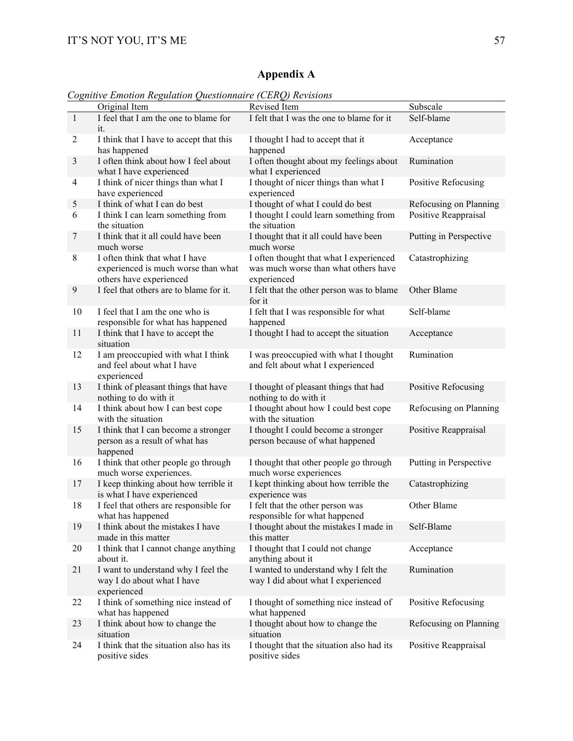## **Appendix A**

*Cognitive Emotion Regulation Questionnaire (CERQ) Revisions*

|                | Original Item                                                                                    | Revised Item                                                                                   | Subscale               |
|----------------|--------------------------------------------------------------------------------------------------|------------------------------------------------------------------------------------------------|------------------------|
| $\mathbf{1}$   | I feel that I am the one to blame for<br>it.                                                     | I felt that I was the one to blame for it                                                      | Self-blame             |
| $\overline{c}$ | I think that I have to accept that this<br>has happened                                          | I thought I had to accept that it<br>happened                                                  | Acceptance             |
| 3              | I often think about how I feel about<br>what I have experienced                                  | I often thought about my feelings about<br>what I experienced                                  | Rumination             |
| 4              | I think of nicer things than what I<br>have experienced                                          | I thought of nicer things than what I<br>experienced                                           | Positive Refocusing    |
| 5              | I think of what I can do best                                                                    | I thought of what I could do best                                                              | Refocusing on Planning |
| 6              | I think I can learn something from<br>the situation                                              | I thought I could learn something from<br>the situation                                        | Positive Reappraisal   |
| 7              | I think that it all could have been<br>much worse                                                | I thought that it all could have been<br>much worse                                            | Putting in Perspective |
| $8\,$          | I often think that what I have<br>experienced is much worse than what<br>others have experienced | I often thought that what I experienced<br>was much worse than what others have<br>experienced | Catastrophizing        |
| 9              | I feel that others are to blame for it.                                                          | I felt that the other person was to blame<br>for it                                            | Other Blame            |
| 10             | I feel that I am the one who is<br>responsible for what has happened                             | I felt that I was responsible for what<br>happened                                             | Self-blame             |
| 11             | I think that I have to accept the<br>situation                                                   | I thought I had to accept the situation                                                        | Acceptance             |
| 12             | I am preoccupied with what I think<br>and feel about what I have<br>experienced                  | I was preoccupied with what I thought<br>and felt about what I experienced                     | Rumination             |
| 13             | I think of pleasant things that have<br>nothing to do with it                                    | I thought of pleasant things that had<br>nothing to do with it                                 | Positive Refocusing    |
| 14             | I think about how I can best cope<br>with the situation                                          | I thought about how I could best cope<br>with the situation                                    | Refocusing on Planning |
| 15             | I think that I can become a stronger<br>person as a result of what has<br>happened               | I thought I could become a stronger<br>person because of what happened                         | Positive Reappraisal   |
| 16             | I think that other people go through<br>much worse experiences.                                  | I thought that other people go through<br>much worse experiences                               | Putting in Perspective |
| 17             | I keep thinking about how terrible it<br>is what I have experienced                              | I kept thinking about how terrible the<br>experience was                                       | Catastrophizing        |
| 18             | I feel that others are responsible for<br>what has happened                                      | I felt that the other person was<br>responsible for what happened                              | Other Blame            |
| 19             | I think about the mistakes I have<br>made in this matter                                         | I thought about the mistakes I made in<br>this matter                                          | Self-Blame             |
| 20             | I think that I cannot change anything<br>about it.                                               | I thought that I could not change<br>anything about it                                         | Acceptance             |
| 21             | I want to understand why I feel the<br>way I do about what I have<br>experienced                 | I wanted to understand why I felt the<br>way I did about what I experienced                    | Rumination             |
| 22             | I think of something nice instead of<br>what has happened                                        | I thought of something nice instead of<br>what happened                                        | Positive Refocusing    |
| 23             | I think about how to change the<br>situation                                                     | I thought about how to change the<br>situation                                                 | Refocusing on Planning |
| 24             | I think that the situation also has its<br>positive sides                                        | I thought that the situation also had its<br>positive sides                                    | Positive Reappraisal   |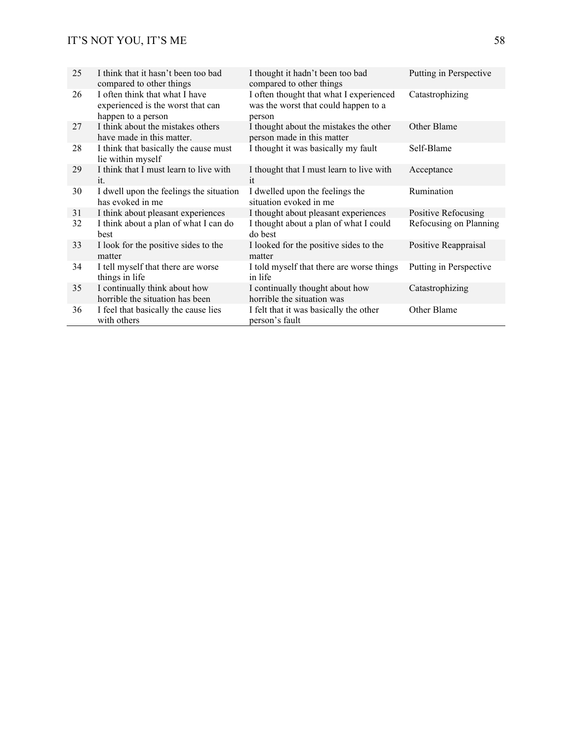| 25 | I think that it hasn't been too bad<br>compared to other things                           | I thought it hadn't been too bad<br>compared to other things                              | Putting in Perspective |
|----|-------------------------------------------------------------------------------------------|-------------------------------------------------------------------------------------------|------------------------|
| 26 | I often think that what I have<br>experienced is the worst that can<br>happen to a person | I often thought that what I experienced<br>was the worst that could happen to a<br>person | Catastrophizing        |
| 27 | I think about the mistakes others<br>have made in this matter.                            | I thought about the mistakes the other<br>person made in this matter                      | Other Blame            |
| 28 | I think that basically the cause must<br>lie within myself                                | I thought it was basically my fault                                                       | Self-Blame             |
| 29 | I think that I must learn to live with<br>it.                                             | I thought that I must learn to live with<br>it                                            | Acceptance             |
| 30 | I dwell upon the feelings the situation<br>has evoked in me                               | I dwelled upon the feelings the<br>situation evoked in me                                 | Rumination             |
| 31 | I think about pleasant experiences                                                        | I thought about pleasant experiences                                                      | Positive Refocusing    |
| 32 | I think about a plan of what I can do<br>best                                             | I thought about a plan of what I could<br>do best                                         | Refocusing on Planning |
| 33 | I look for the positive sides to the<br>matter                                            | I looked for the positive sides to the<br>matter                                          | Positive Reappraisal   |
| 34 | I tell myself that there are worse<br>things in life                                      | I told myself that there are worse things<br>in life                                      | Putting in Perspective |
| 35 | I continually think about how<br>horrible the situation has been                          | I continually thought about how<br>horrible the situation was                             | Catastrophizing        |
| 36 | I feel that basically the cause lies<br>with others                                       | I felt that it was basically the other<br>person's fault                                  | Other Blame            |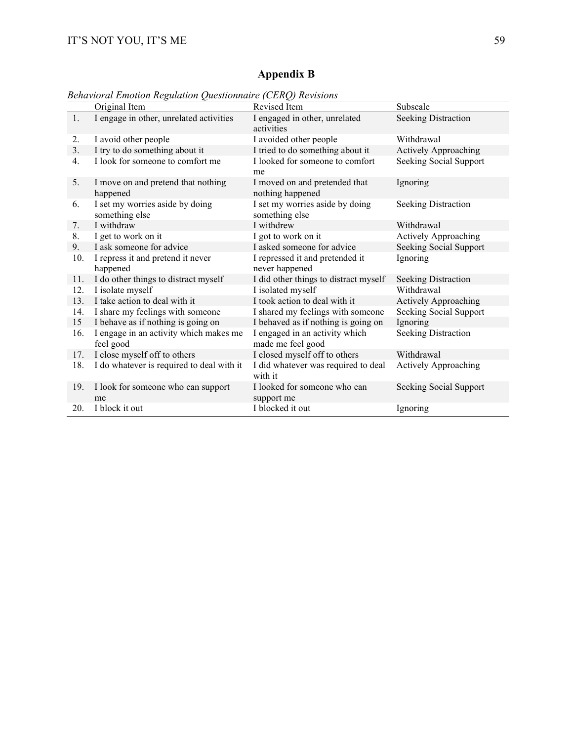## **Appendix B**

*Behavioral Emotion Regulation Questionnaire (CERQ) Revisions*

|     | Original Item                                       | Revised Item                                        | Subscale                   |
|-----|-----------------------------------------------------|-----------------------------------------------------|----------------------------|
| 1.  | I engage in other, unrelated activities             | I engaged in other, unrelated<br>activities         | <b>Seeking Distraction</b> |
| 2.  | I avoid other people                                | I avoided other people                              | Withdrawal                 |
| 3.  | I try to do something about it                      | I tried to do something about it                    | Actively Approaching       |
| 4.  | I look for someone to comfort me                    | I looked for someone to comfort<br>me               | Seeking Social Support     |
| 5.  | I move on and pretend that nothing<br>happened      | I moved on and pretended that<br>nothing happened   | Ignoring                   |
| 6.  | I set my worries aside by doing<br>something else   | I set my worries aside by doing<br>something else   | <b>Seeking Distraction</b> |
| 7.  | I withdraw                                          | I withdrew                                          | Withdrawal                 |
| 8.  | I get to work on it                                 | I got to work on it                                 | Actively Approaching       |
| 9.  | I ask someone for advice                            | I asked someone for advice                          | Seeking Social Support     |
| 10. | I repress it and pretend it never<br>happened       | I repressed it and pretended it<br>never happened   | Ignoring                   |
| 11. | I do other things to distract myself                | I did other things to distract myself               | <b>Seeking Distraction</b> |
| 12. | I isolate myself                                    | I isolated myself                                   | Withdrawal                 |
| 13. | I take action to deal with it                       | I took action to deal with it                       | Actively Approaching       |
| 14. | I share my feelings with someone                    | I shared my feelings with someone                   | Seeking Social Support     |
| 15  | I behave as if nothing is going on                  | I behaved as if nothing is going on                 | Ignoring                   |
| 16. | I engage in an activity which makes me<br>feel good | I engaged in an activity which<br>made me feel good | Seeking Distraction        |
| 17. | I close myself off to others                        | I closed myself off to others                       | Withdrawal                 |
| 18. | I do whatever is required to deal with it           | I did whatever was required to deal<br>with it      | Actively Approaching       |
| 19. | I look for someone who can support<br>me            | I looked for someone who can<br>support me          | Seeking Social Support     |
| 20. | I block it out                                      | I blocked it out                                    | Ignoring                   |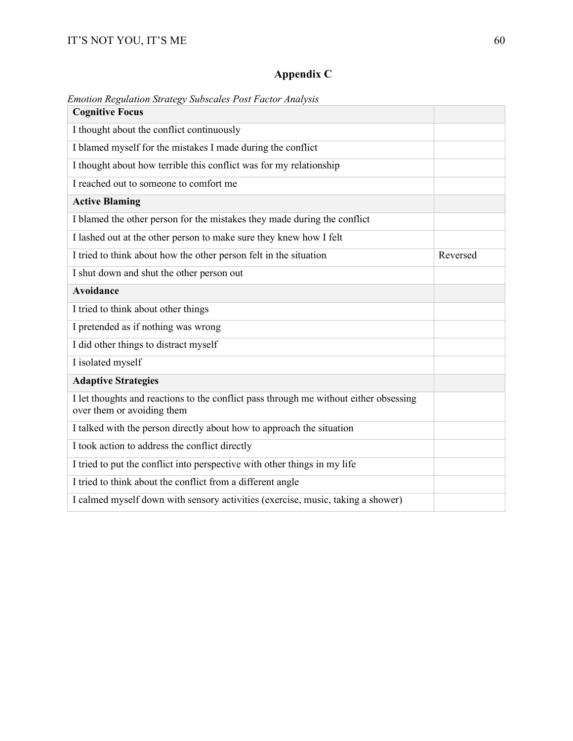## **Appendix C**

| Emotion Regulation Strategy Subscales Post Factor Analysis                                                          |          |
|---------------------------------------------------------------------------------------------------------------------|----------|
| <b>Cognitive Focus</b>                                                                                              |          |
| I thought about the conflict continuously                                                                           |          |
| I blamed myself for the mistakes I made during the conflict                                                         |          |
| I thought about how terrible this conflict was for my relationship                                                  |          |
| I reached out to someone to comfort me                                                                              |          |
| <b>Active Blaming</b>                                                                                               |          |
| I blamed the other person for the mistakes they made during the conflict                                            |          |
| I lashed out at the other person to make sure they knew how I felt                                                  |          |
| I tried to think about how the other person felt in the situation                                                   | Reversed |
| I shut down and shut the other person out                                                                           |          |
| Avoidance                                                                                                           |          |
| I tried to think about other things                                                                                 |          |
| I pretended as if nothing was wrong                                                                                 |          |
| I did other things to distract myself                                                                               |          |
| I isolated myself                                                                                                   |          |
| <b>Adaptive Strategies</b>                                                                                          |          |
| I let thoughts and reactions to the conflict pass through me without either obsessing<br>over them or avoiding them |          |
| I talked with the person directly about how to approach the situation                                               |          |
| I took action to address the conflict directly                                                                      |          |
| I tried to put the conflict into perspective with other things in my life                                           |          |
| I tried to think about the conflict from a different angle                                                          |          |
| I calmed myself down with sensory activities (exercise, music, taking a shower)                                     |          |
|                                                                                                                     |          |